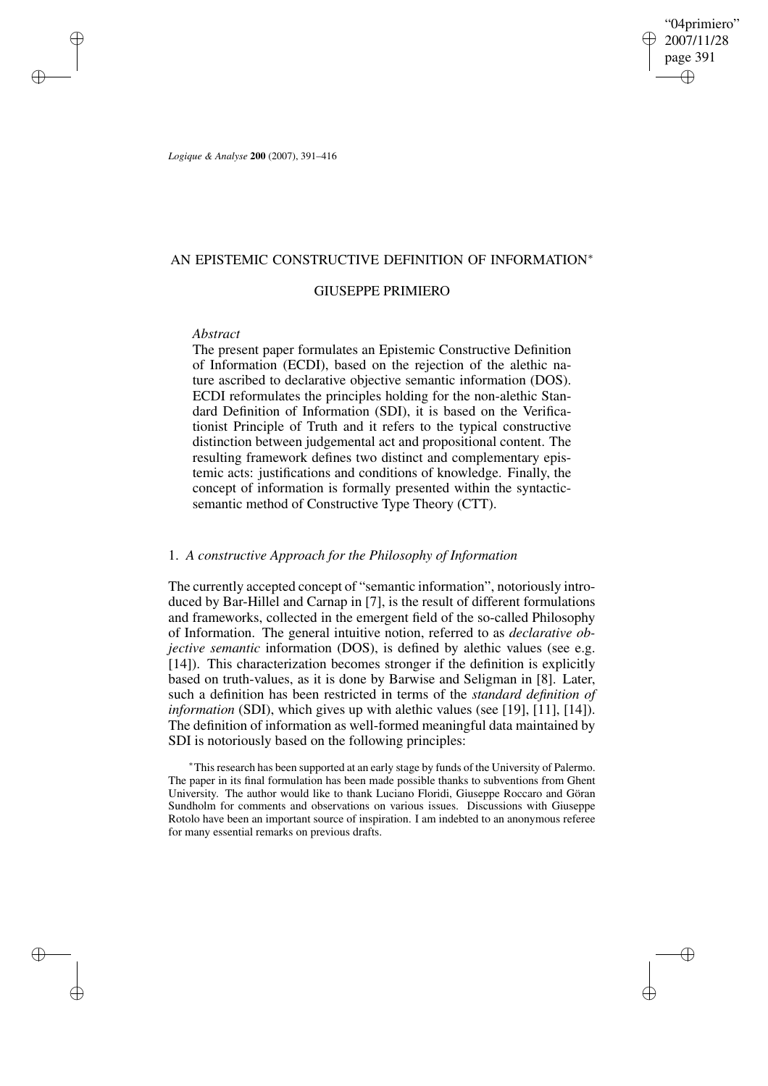"04primiero" 2007/11/28 page 391 ✐ ✐

✐

✐

*Logique & Analyse* **200** (2007), 391–416

## AN EPISTEMIC CONSTRUCTIVE DEFINITION OF INFORMATION<sup>∗</sup>

# GIUSEPPE PRIMIERO

## *Abstract*

✐

✐

✐

✐

The present paper formulates an Epistemic Constructive Definition of Information (ECDI), based on the rejection of the alethic nature ascribed to declarative objective semantic information (DOS). ECDI reformulates the principles holding for the non-alethic Standard Definition of Information (SDI), it is based on the Verificationist Principle of Truth and it refers to the typical constructive distinction between judgemental act and propositional content. The resulting framework defines two distinct and complementary epistemic acts: justifications and conditions of knowledge. Finally, the concept of information is formally presented within the syntacticsemantic method of Constructive Type Theory (CTT).

# 1. *A constructive Approach for the Philosophy of Information*

The currently accepted concept of "semantic information", notoriously introduced by Bar-Hillel and Carnap in [7], is the result of different formulations and frameworks, collected in the emergent field of the so-called Philosophy of Information. The general intuitive notion, referred to as *declarative objective semantic* information (DOS), is defined by alethic values (see e.g. [14]). This characterization becomes stronger if the definition is explicitly based on truth-values, as it is done by Barwise and Seligman in [8]. Later, such a definition has been restricted in terms of the *standard definition of information* (SDI), which gives up with alethic values (see [19], [11], [14]). The definition of information as well-formed meaningful data maintained by SDI is notoriously based on the following principles:

<sup>∗</sup>Thisresearch has been supported at an early stage by funds of the University of Palermo. The paper in its final formulation has been made possible thanks to subventions from Ghent University. The author would like to thank Luciano Floridi, Giuseppe Roccaro and Göran Sundholm for comments and observations on various issues. Discussions with Giuseppe Rotolo have been an important source of inspiration. I am indebted to an anonymous referee for many essential remarks on previous drafts.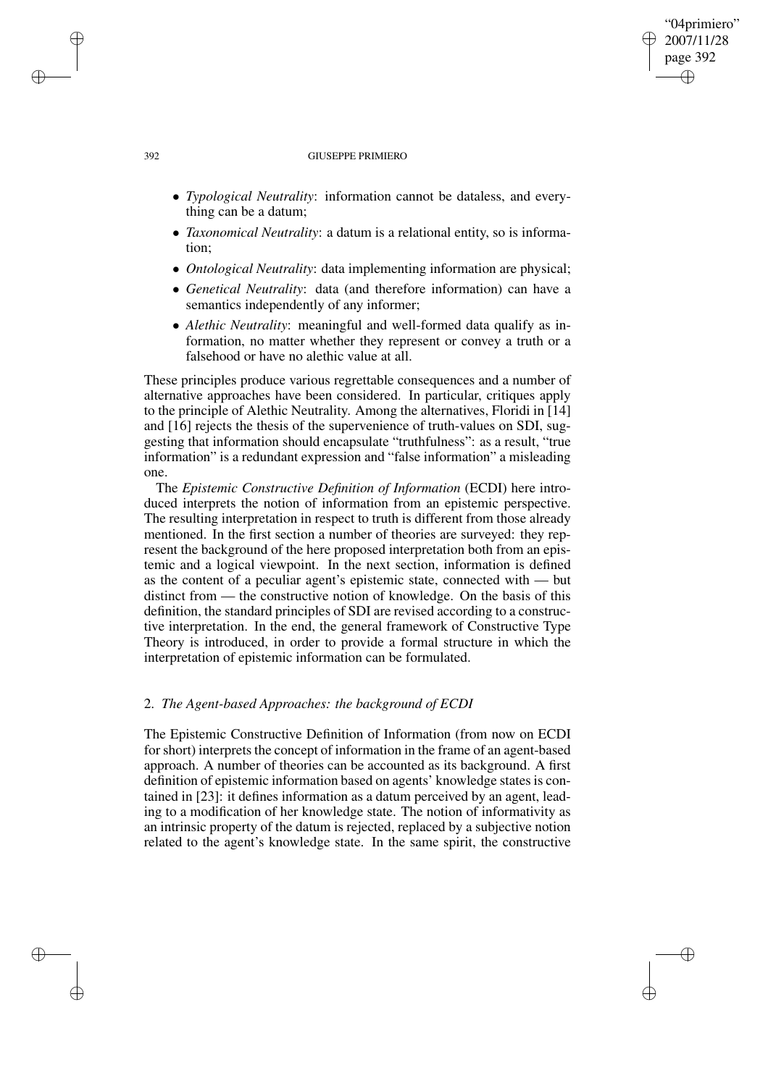### 392 GIUSEPPE PRIMIERO

• *Typological Neutrality*: information cannot be dataless, and everything can be a datum;

"04primiero" 2007/11/28 page 392

✐

✐

✐

✐

- *Taxonomical Neutrality*: a datum is a relational entity, so is information;
- *Ontological Neutrality*: data implementing information are physical;
- *Genetical Neutrality*: data (and therefore information) can have a semantics independently of any informer;
- *Alethic Neutrality*: meaningful and well-formed data qualify as information, no matter whether they represent or convey a truth or a falsehood or have no alethic value at all.

These principles produce various regrettable consequences and a number of alternative approaches have been considered. In particular, critiques apply to the principle of Alethic Neutrality. Among the alternatives, Floridi in [14] and [16] rejects the thesis of the supervenience of truth-values on SDI, suggesting that information should encapsulate "truthfulness": as a result, "true information" is a redundant expression and "false information" a misleading one.

The *Epistemic Constructive Definition of Information* (ECDI) here introduced interprets the notion of information from an epistemic perspective. The resulting interpretation in respect to truth is different from those already mentioned. In the first section a number of theories are surveyed: they represent the background of the here proposed interpretation both from an epistemic and a logical viewpoint. In the next section, information is defined as the content of a peculiar agent's epistemic state, connected with — but distinct from — the constructive notion of knowledge. On the basis of this definition, the standard principles of SDI are revised according to a constructive interpretation. In the end, the general framework of Constructive Type Theory is introduced, in order to provide a formal structure in which the interpretation of epistemic information can be formulated.

# 2. *The Agent-based Approaches: the background of ECDI*

The Epistemic Constructive Definition of Information (from now on ECDI for short) interprets the concept of information in the frame of an agent-based approach. A number of theories can be accounted as its background. A first definition of epistemic information based on agents' knowledge states is contained in [23]: it defines information as a datum perceived by an agent, leading to a modification of her knowledge state. The notion of informativity as an intrinsic property of the datum is rejected, replaced by a subjective notion related to the agent's knowledge state. In the same spirit, the constructive

✐

✐

✐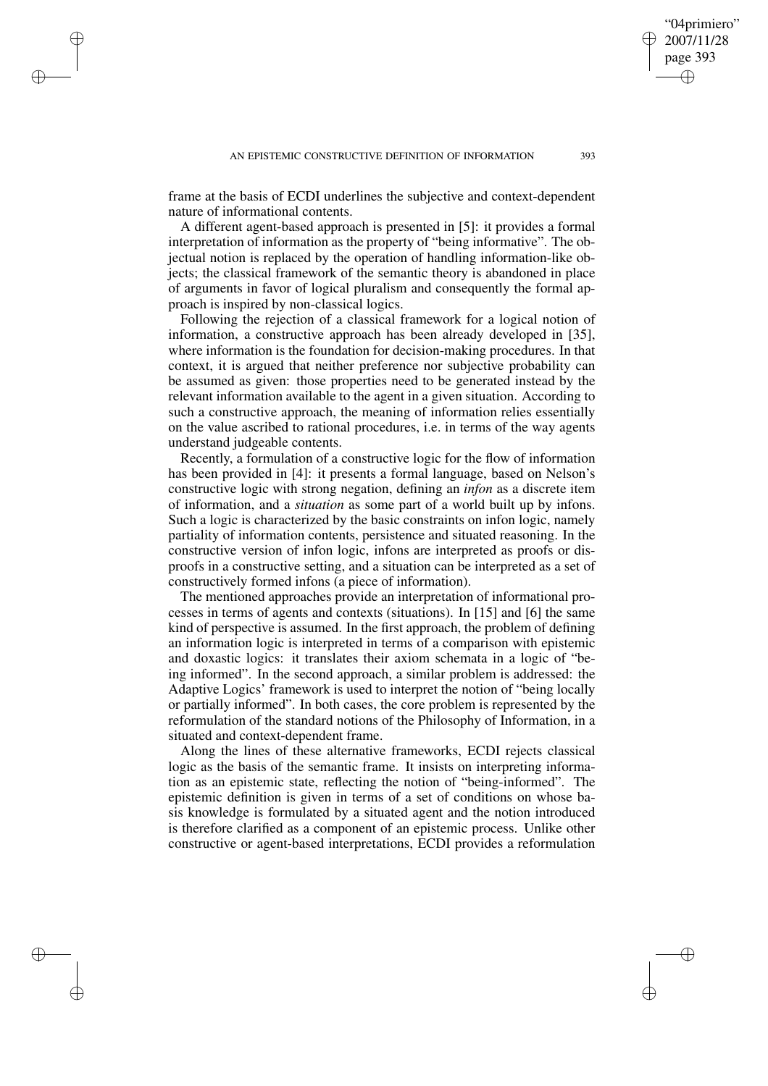✐

✐

✐

✐

frame at the basis of ECDI underlines the subjective and context-dependent nature of informational contents.

A different agent-based approach is presented in [5]: it provides a formal interpretation of information as the property of "being informative". The objectual notion is replaced by the operation of handling information-like objects; the classical framework of the semantic theory is abandoned in place of arguments in favor of logical pluralism and consequently the formal approach is inspired by non-classical logics.

Following the rejection of a classical framework for a logical notion of information, a constructive approach has been already developed in [35], where information is the foundation for decision-making procedures. In that context, it is argued that neither preference nor subjective probability can be assumed as given: those properties need to be generated instead by the relevant information available to the agent in a given situation. According to such a constructive approach, the meaning of information relies essentially on the value ascribed to rational procedures, i.e. in terms of the way agents understand judgeable contents.

Recently, a formulation of a constructive logic for the flow of information has been provided in [4]: it presents a formal language, based on Nelson's constructive logic with strong negation, defining an *infon* as a discrete item of information, and a *situation* as some part of a world built up by infons. Such a logic is characterized by the basic constraints on infon logic, namely partiality of information contents, persistence and situated reasoning. In the constructive version of infon logic, infons are interpreted as proofs or disproofs in a constructive setting, and a situation can be interpreted as a set of constructively formed infons (a piece of information).

The mentioned approaches provide an interpretation of informational processes in terms of agents and contexts (situations). In [15] and [6] the same kind of perspective is assumed. In the first approach, the problem of defining an information logic is interpreted in terms of a comparison with epistemic and doxastic logics: it translates their axiom schemata in a logic of "being informed". In the second approach, a similar problem is addressed: the Adaptive Logics' framework is used to interpret the notion of "being locally or partially informed". In both cases, the core problem is represented by the reformulation of the standard notions of the Philosophy of Information, in a situated and context-dependent frame.

Along the lines of these alternative frameworks, ECDI rejects classical logic as the basis of the semantic frame. It insists on interpreting information as an epistemic state, reflecting the notion of "being-informed". The epistemic definition is given in terms of a set of conditions on whose basis knowledge is formulated by a situated agent and the notion introduced is therefore clarified as a component of an epistemic process. Unlike other constructive or agent-based interpretations, ECDI provides a reformulation

"04primiero" 2007/11/28 page 393

✐

✐

✐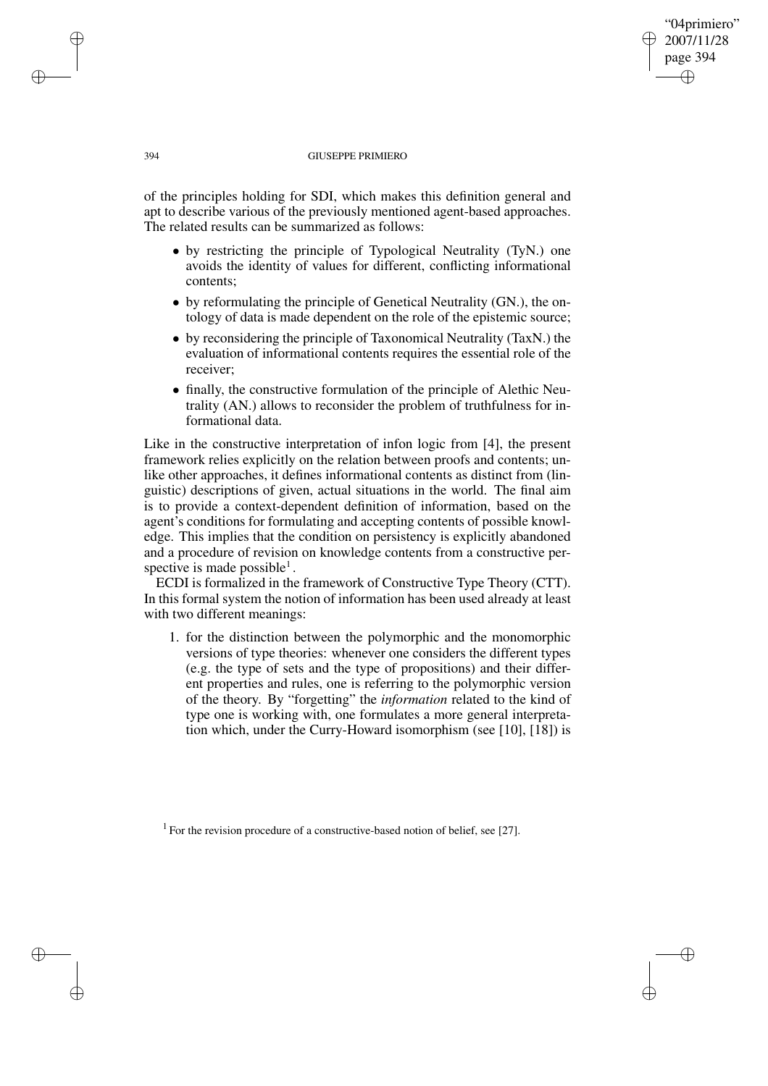### 394 GIUSEPPE PRIMIERO

"04primiero" 2007/11/28 page 394

✐

✐

✐

✐

of the principles holding for SDI, which makes this definition general and apt to describe various of the previously mentioned agent-based approaches. The related results can be summarized as follows:

- by restricting the principle of Typological Neutrality (TyN.) one avoids the identity of values for different, conflicting informational contents;
- by reformulating the principle of Genetical Neutrality (GN.), the ontology of data is made dependent on the role of the epistemic source;
- by reconsidering the principle of Taxonomical Neutrality (TaxN.) the evaluation of informational contents requires the essential role of the receiver;
- finally, the constructive formulation of the principle of Alethic Neutrality (AN.) allows to reconsider the problem of truthfulness for informational data.

Like in the constructive interpretation of infon logic from [4], the present framework relies explicitly on the relation between proofs and contents; unlike other approaches, it defines informational contents as distinct from (linguistic) descriptions of given, actual situations in the world. The final aim is to provide a context-dependent definition of information, based on the agent's conditions for formulating and accepting contents of possible knowledge. This implies that the condition on persistency is explicitly abandoned and a procedure of revision on knowledge contents from a constructive perspective is made possible<sup>1</sup>.

ECDI is formalized in the framework of Constructive Type Theory (CTT). In this formal system the notion of information has been used already at least with two different meanings:

1. for the distinction between the polymorphic and the monomorphic versions of type theories: whenever one considers the different types (e.g. the type of sets and the type of propositions) and their different properties and rules, one is referring to the polymorphic version of the theory. By "forgetting" the *information* related to the kind of type one is working with, one formulates a more general interpretation which, under the Curry-Howard isomorphism (see [10], [18]) is

<sup>1</sup> For the revision procedure of a constructive-based notion of belief, see [27].

✐

✐

✐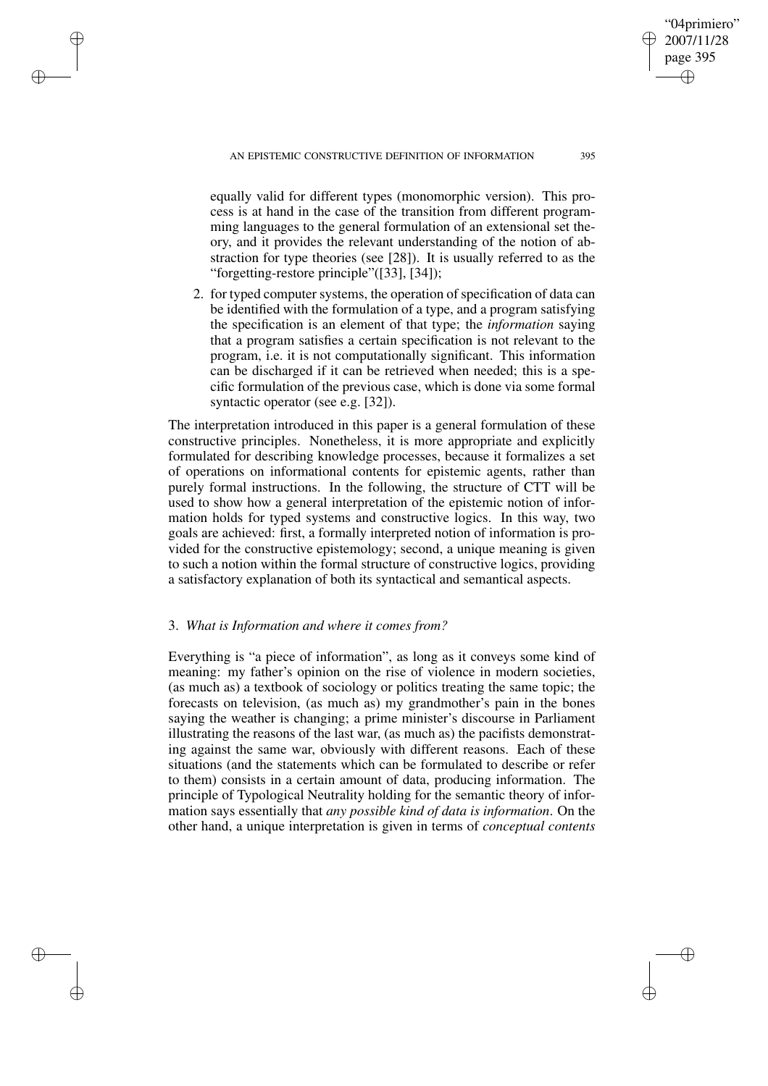✐

✐

✐

✐

equally valid for different types (monomorphic version). This process is at hand in the case of the transition from different programming languages to the general formulation of an extensional set theory, and it provides the relevant understanding of the notion of abstraction for type theories (see [28]). It is usually referred to as the "forgetting-restore principle"([33], [34]);

2. for typed computer systems, the operation of specification of data can be identified with the formulation of a type, and a program satisfying the specification is an element of that type; the *information* saying that a program satisfies a certain specification is not relevant to the program, i.e. it is not computationally significant. This information can be discharged if it can be retrieved when needed; this is a specific formulation of the previous case, which is done via some formal syntactic operator (see e.g. [32]).

The interpretation introduced in this paper is a general formulation of these constructive principles. Nonetheless, it is more appropriate and explicitly formulated for describing knowledge processes, because it formalizes a set of operations on informational contents for epistemic agents, rather than purely formal instructions. In the following, the structure of CTT will be used to show how a general interpretation of the epistemic notion of information holds for typed systems and constructive logics. In this way, two goals are achieved: first, a formally interpreted notion of information is provided for the constructive epistemology; second, a unique meaning is given to such a notion within the formal structure of constructive logics, providing a satisfactory explanation of both its syntactical and semantical aspects.

## 3. *What is Information and where it comes from?*

Everything is "a piece of information", as long as it conveys some kind of meaning: my father's opinion on the rise of violence in modern societies, (as much as) a textbook of sociology or politics treating the same topic; the forecasts on television, (as much as) my grandmother's pain in the bones saying the weather is changing; a prime minister's discourse in Parliament illustrating the reasons of the last war, (as much as) the pacifists demonstrating against the same war, obviously with different reasons. Each of these situations (and the statements which can be formulated to describe or refer to them) consists in a certain amount of data, producing information. The principle of Typological Neutrality holding for the semantic theory of information says essentially that *any possible kind of data is information*. On the other hand, a unique interpretation is given in terms of *conceptual contents*

"04primiero" 2007/11/28 page 395

✐

✐

✐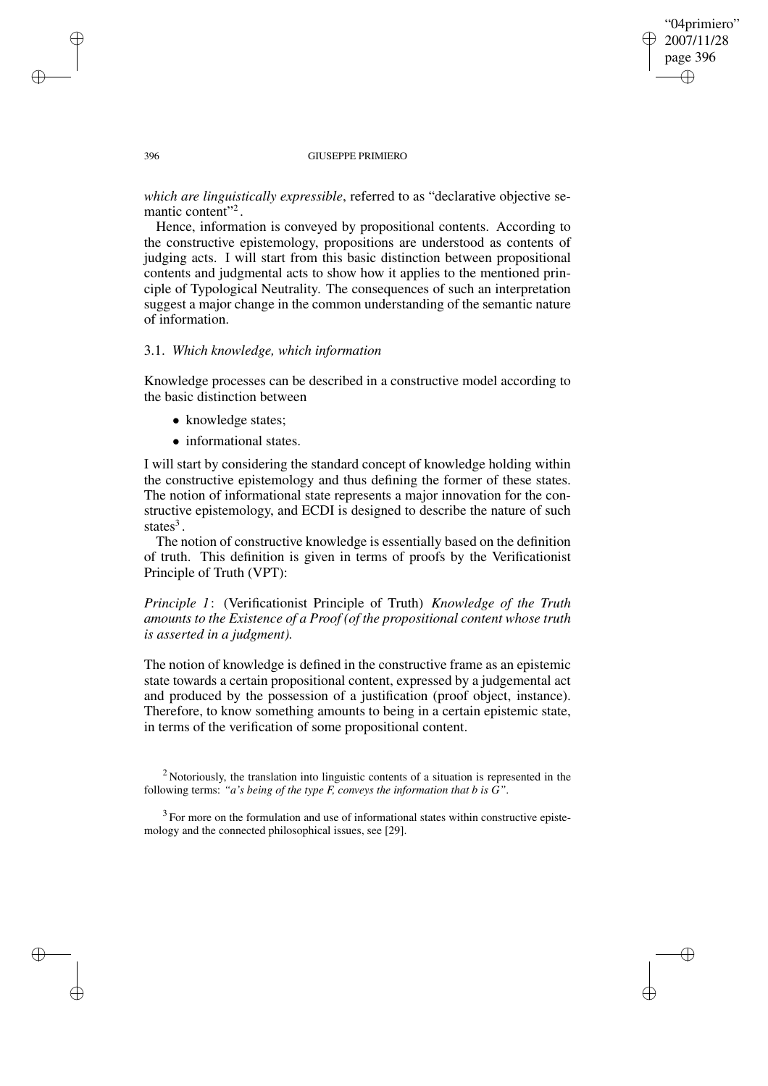## "04primiero" 2007/11/28 page 396 ✐ ✐

✐

✐

#### 396 GIUSEPPE PRIMIERO

*which are linguistically expressible*, referred to as "declarative objective semantic content"<sup>2</sup>.

Hence, information is conveyed by propositional contents. According to the constructive epistemology, propositions are understood as contents of judging acts. I will start from this basic distinction between propositional contents and judgmental acts to show how it applies to the mentioned principle of Typological Neutrality. The consequences of such an interpretation suggest a major change in the common understanding of the semantic nature of information.

### 3.1. *Which knowledge, which information*

Knowledge processes can be described in a constructive model according to the basic distinction between

- knowledge states;
- informational states.

I will start by considering the standard concept of knowledge holding within the constructive epistemology and thus defining the former of these states. The notion of informational state represents a major innovation for the constructive epistemology, and ECDI is designed to describe the nature of such states<sup>3</sup>.

The notion of constructive knowledge is essentially based on the definition of truth. This definition is given in terms of proofs by the Verificationist Principle of Truth (VPT):

*Principle 1*: (Verificationist Principle of Truth) *Knowledge of the Truth amounts to the Existence of a Proof (of the propositional content whose truth is asserted in a judgment).*

The notion of knowledge is defined in the constructive frame as an epistemic state towards a certain propositional content, expressed by a judgemental act and produced by the possession of a justification (proof object, instance). Therefore, to know something amounts to being in a certain epistemic state, in terms of the verification of some propositional content.

 $2$  Notoriously, the translation into linguistic contents of a situation is represented in the following terms: *"a's being of the type F, conveys the information that b is G"*.

 $3$  For more on the formulation and use of informational states within constructive epistemology and the connected philosophical issues, see [29].

✐

✐

✐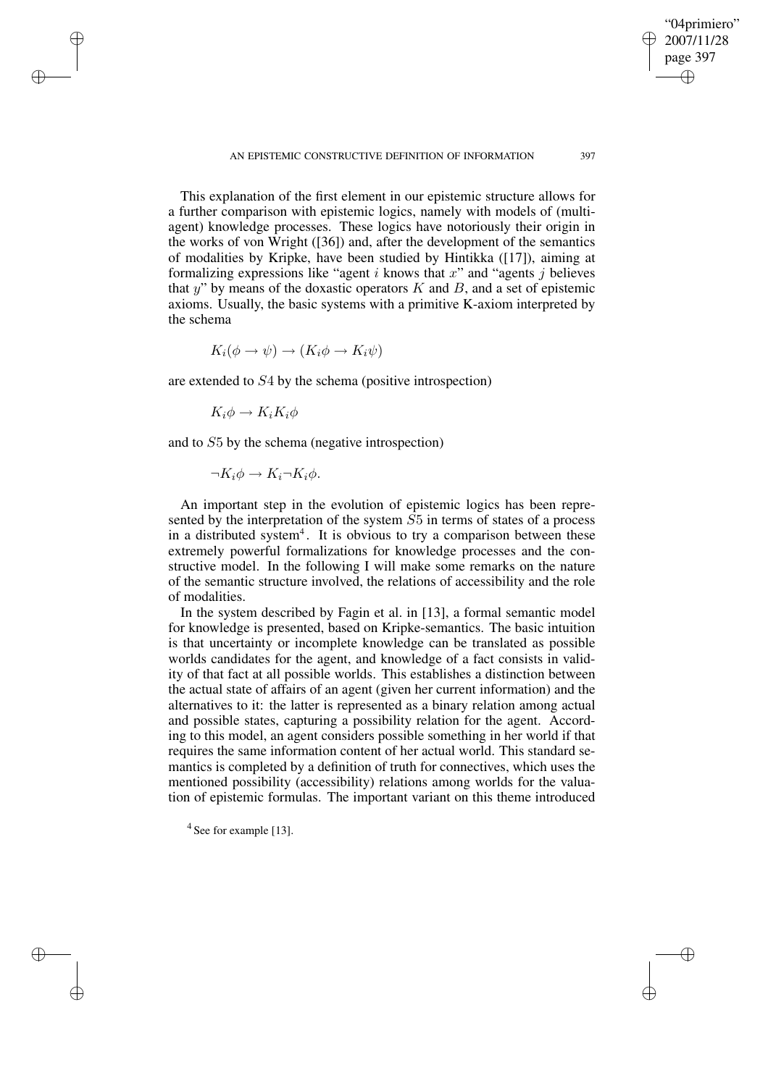This explanation of the first element in our epistemic structure allows for a further comparison with epistemic logics, namely with models of (multiagent) knowledge processes. These logics have notoriously their origin in the works of von Wright ([36]) and, after the development of the semantics of modalities by Kripke, have been studied by Hintikka ([17]), aiming at formalizing expressions like "agent  $i$  knows that  $x$ " and "agents  $j$  believes that y" by means of the doxastic operators  $K$  and  $B$ , and a set of epistemic axioms. Usually, the basic systems with a primitive K-axiom interpreted by the schema

$$
K_i(\phi \to \psi) \to (K_i \phi \to K_i \psi)
$$

are extended to S4 by the schema (positive introspection)

$$
K_i \phi \to K_i K_i \phi
$$

✐

✐

✐

✐

and to S5 by the schema (negative introspection)

$$
\neg K_i \phi \to K_i \neg K_i \phi.
$$

An important step in the evolution of epistemic logics has been represented by the interpretation of the system S5 in terms of states of a process in a distributed system<sup>4</sup>. It is obvious to try a comparison between these extremely powerful formalizations for knowledge processes and the constructive model. In the following I will make some remarks on the nature of the semantic structure involved, the relations of accessibility and the role of modalities.

In the system described by Fagin et al. in [13], a formal semantic model for knowledge is presented, based on Kripke-semantics. The basic intuition is that uncertainty or incomplete knowledge can be translated as possible worlds candidates for the agent, and knowledge of a fact consists in validity of that fact at all possible worlds. This establishes a distinction between the actual state of affairs of an agent (given her current information) and the alternatives to it: the latter is represented as a binary relation among actual and possible states, capturing a possibility relation for the agent. According to this model, an agent considers possible something in her world if that requires the same information content of her actual world. This standard semantics is completed by a definition of truth for connectives, which uses the mentioned possibility (accessibility) relations among worlds for the valuation of epistemic formulas. The important variant on this theme introduced

<sup>4</sup> See for example [13].

"04primiero" 2007/11/28 page 397

✐

✐

✐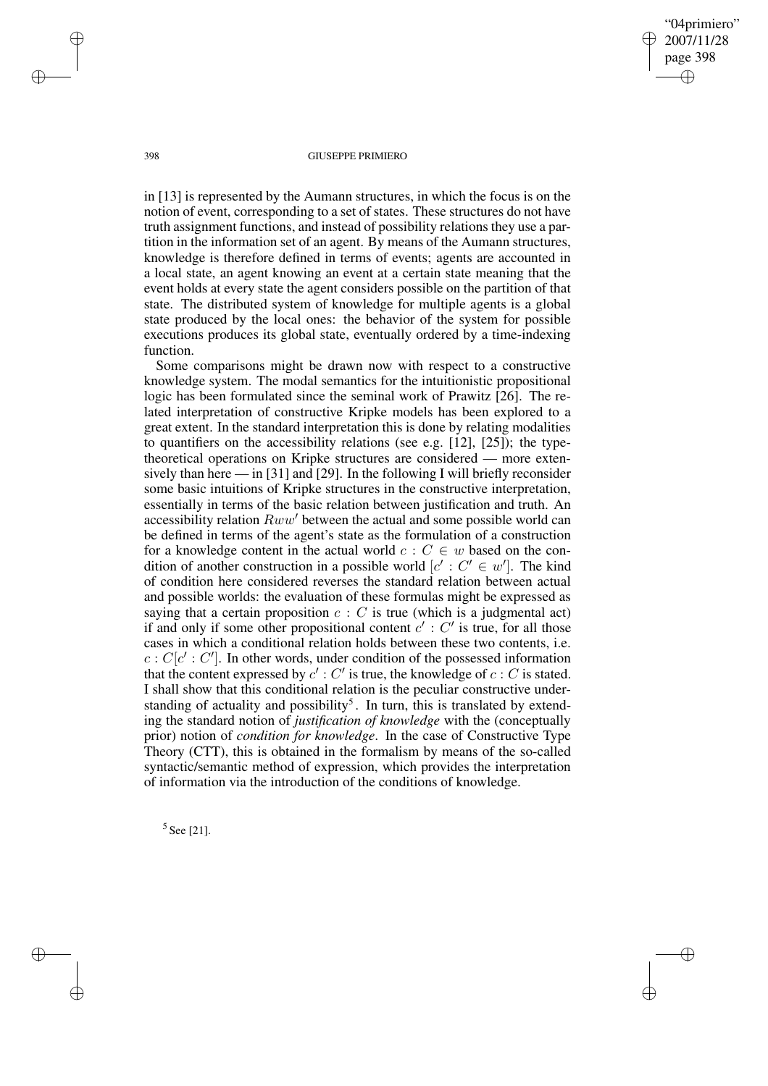"04primiero" 2007/11/28 page 398 ✐ ✐

✐

✐

#### 398 GIUSEPPE PRIMIERO

in [13] is represented by the Aumann structures, in which the focus is on the notion of event, corresponding to a set of states. These structures do not have truth assignment functions, and instead of possibility relations they use a partition in the information set of an agent. By means of the Aumann structures, knowledge is therefore defined in terms of events; agents are accounted in a local state, an agent knowing an event at a certain state meaning that the event holds at every state the agent considers possible on the partition of that state. The distributed system of knowledge for multiple agents is a global state produced by the local ones: the behavior of the system for possible executions produces its global state, eventually ordered by a time-indexing function.

Some comparisons might be drawn now with respect to a constructive knowledge system. The modal semantics for the intuitionistic propositional logic has been formulated since the seminal work of Prawitz [26]. The related interpretation of constructive Kripke models has been explored to a great extent. In the standard interpretation this is done by relating modalities to quantifiers on the accessibility relations (see e.g. [12], [25]); the typetheoretical operations on Kripke structures are considered — more extensively than here — in [31] and [29]. In the following I will briefly reconsider some basic intuitions of Kripke structures in the constructive interpretation, essentially in terms of the basic relation between justification and truth. An accessibility relation  $Rww'$  between the actual and some possible world can be defined in terms of the agent's state as the formulation of a construction for a knowledge content in the actual world  $c : C \in w$  based on the condition of another construction in a possible world  $[c' : C' \in w']$ . The kind of condition here considered reverses the standard relation between actual and possible worlds: the evaluation of these formulas might be expressed as saying that a certain proposition  $c : C$  is true (which is a judgmental act) if and only if some other propositional content  $c' : C'$  is true, for all those cases in which a conditional relation holds between these two contents, i.e.  $c : C[c': C']$ . In other words, under condition of the possessed information that the content expressed by  $c'$  :  $C'$  is true, the knowledge of  $c : C$  is stated. I shall show that this conditional relation is the peculiar constructive understanding of actuality and possibility<sup>5</sup>. In turn, this is translated by extending the standard notion of *justification of knowledge* with the (conceptually prior) notion of *condition for knowledge*. In the case of Constructive Type Theory (CTT), this is obtained in the formalism by means of the so-called syntactic/semantic method of expression, which provides the interpretation of information via the introduction of the conditions of knowledge.

5 See [21].

✐

✐

✐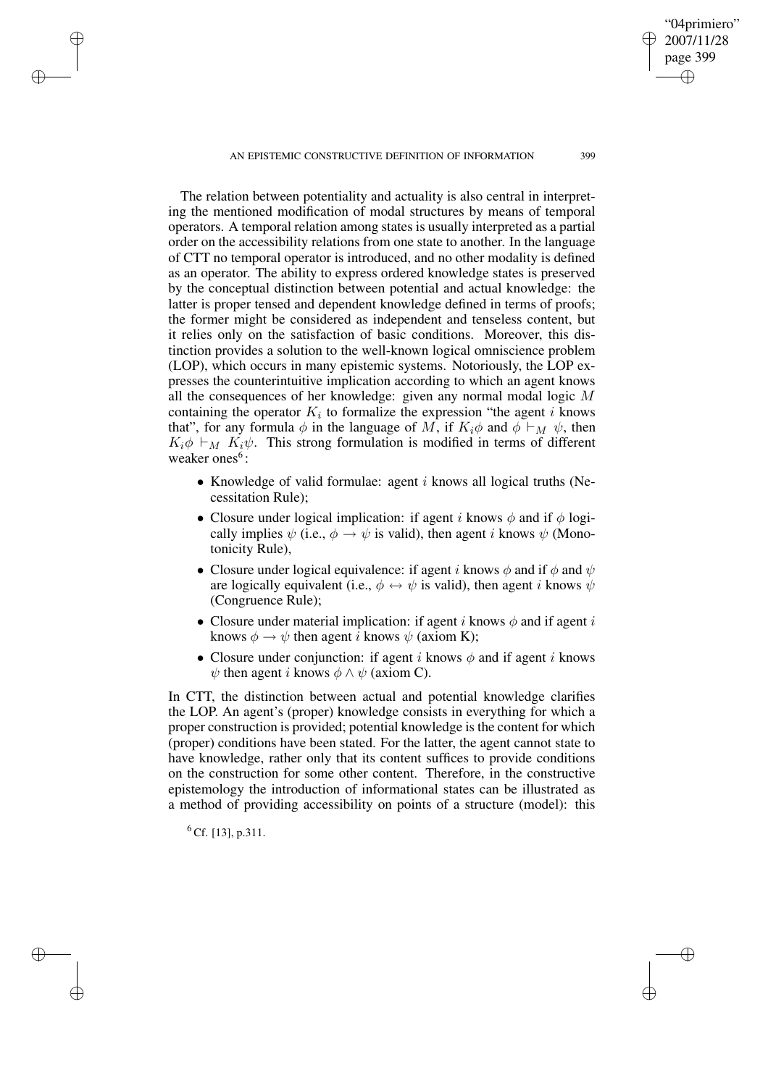AN EPISTEMIC CONSTRUCTIVE DEFINITION OF INFORMATION 399

The relation between potentiality and actuality is also central in interpreting the mentioned modification of modal structures by means of temporal operators. A temporal relation among states is usually interpreted as a partial order on the accessibility relations from one state to another. In the language of CTT no temporal operator is introduced, and no other modality is defined as an operator. The ability to express ordered knowledge states is preserved by the conceptual distinction between potential and actual knowledge: the latter is proper tensed and dependent knowledge defined in terms of proofs; the former might be considered as independent and tenseless content, but it relies only on the satisfaction of basic conditions. Moreover, this distinction provides a solution to the well-known logical omniscience problem (LOP), which occurs in many epistemic systems. Notoriously, the LOP expresses the counterintuitive implication according to which an agent knows all the consequences of her knowledge: given any normal modal logic M containing the operator  $K_i$  to formalize the expression "the agent i knows that", for any formula  $\phi$  in the language of M, if  $K_i \phi$  and  $\phi \vdash_M \psi$ , then  $K_i \phi \vdash_M K_i \psi$ . This strong formulation is modified in terms of different weaker ones<sup>6</sup>:

- Knowledge of valid formulae: agent  $i$  knows all logical truths (Necessitation Rule);
- Closure under logical implication: if agent i knows  $\phi$  and if  $\phi$  logically implies  $\psi$  (i.e.,  $\phi \rightarrow \psi$  is valid), then agent *i* knows  $\psi$  (Monotonicity Rule),
- Closure under logical equivalence: if agent i knows  $\phi$  and if  $\phi$  and  $\psi$ are logically equivalent (i.e.,  $\phi \leftrightarrow \psi$  is valid), then agent *i* knows  $\psi$ (Congruence Rule);
- Closure under material implication: if agent i knows  $\phi$  and if agent i knows  $\phi \rightarrow \psi$  then agent *i* knows  $\psi$  (axiom K);
- Closure under conjunction: if agent i knows  $\phi$  and if agent i knows  $\psi$  then agent i knows  $\phi \wedge \psi$  (axiom C).

In CTT, the distinction between actual and potential knowledge clarifies the LOP. An agent's (proper) knowledge consists in everything for which a proper construction is provided; potential knowledge is the content for which (proper) conditions have been stated. For the latter, the agent cannot state to have knowledge, rather only that its content suffices to provide conditions on the construction for some other content. Therefore, in the constructive epistemology the introduction of informational states can be illustrated as a method of providing accessibility on points of a structure (model): this

 $^{6}$  Cf. [13], p.311.

✐

✐

✐

✐

"04primiero" 2007/11/28 page 399

✐

✐

✐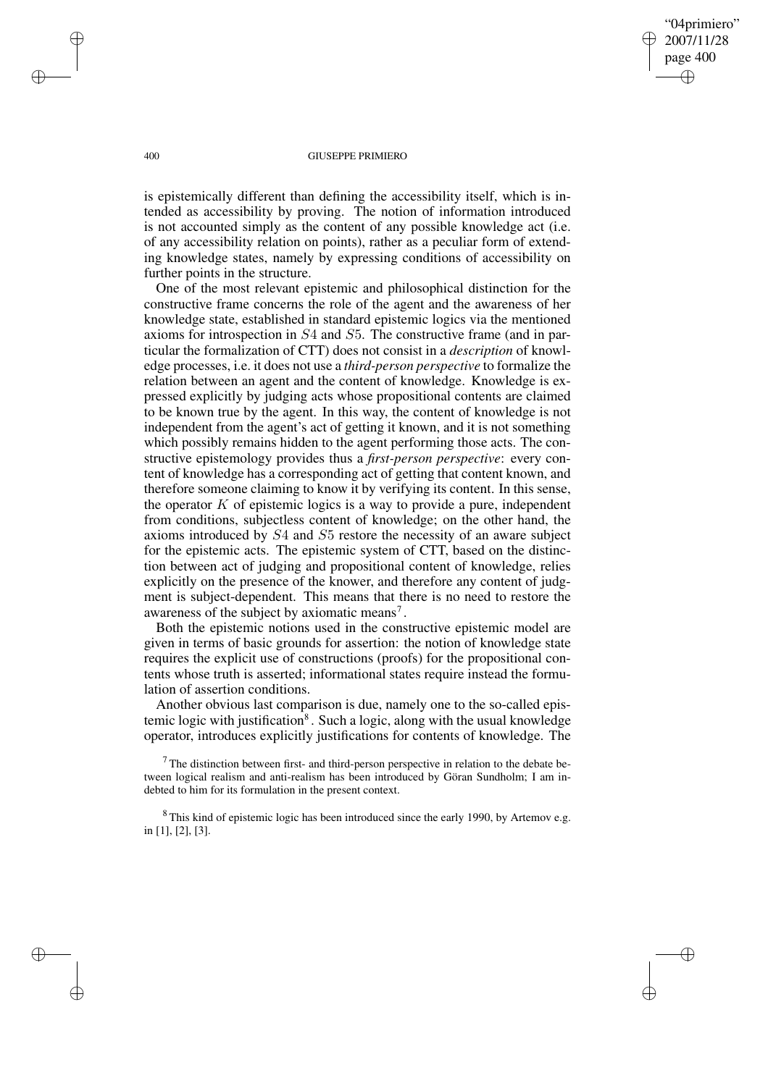"04primiero" 2007/11/28 page 400 ✐ ✐

✐

✐

#### 400 GIUSEPPE PRIMIERO

is epistemically different than defining the accessibility itself, which is intended as accessibility by proving. The notion of information introduced is not accounted simply as the content of any possible knowledge act (i.e. of any accessibility relation on points), rather as a peculiar form of extending knowledge states, namely by expressing conditions of accessibility on further points in the structure.

One of the most relevant epistemic and philosophical distinction for the constructive frame concerns the role of the agent and the awareness of her knowledge state, established in standard epistemic logics via the mentioned axioms for introspection in S4 and S5. The constructive frame (and in particular the formalization of CTT) does not consist in a *description* of knowledge processes, i.e. it does not use a *third-person perspective* to formalize the relation between an agent and the content of knowledge. Knowledge is expressed explicitly by judging acts whose propositional contents are claimed to be known true by the agent. In this way, the content of knowledge is not independent from the agent's act of getting it known, and it is not something which possibly remains hidden to the agent performing those acts. The constructive epistemology provides thus a *first-person perspective*: every content of knowledge has a corresponding act of getting that content known, and therefore someone claiming to know it by verifying its content. In this sense, the operator  $K$  of epistemic logics is a way to provide a pure, independent from conditions, subjectless content of knowledge; on the other hand, the axioms introduced by S4 and S5 restore the necessity of an aware subject for the epistemic acts. The epistemic system of CTT, based on the distinction between act of judging and propositional content of knowledge, relies explicitly on the presence of the knower, and therefore any content of judgment is subject-dependent. This means that there is no need to restore the awareness of the subject by axiomatic means<sup>7</sup>.

Both the epistemic notions used in the constructive epistemic model are given in terms of basic grounds for assertion: the notion of knowledge state requires the explicit use of constructions (proofs) for the propositional contents whose truth is asserted; informational states require instead the formulation of assertion conditions.

Another obvious last comparison is due, namely one to the so-called epistemic logic with justification<sup>8</sup>. Such a logic, along with the usual knowledge operator, introduces explicitly justifications for contents of knowledge. The

 $7$ The distinction between first- and third-person perspective in relation to the debate between logical realism and anti-realism has been introduced by Göran Sundholm; I am indebted to him for its formulation in the present context.

<sup>8</sup> This kind of epistemic logic has been introduced since the early 1990, by Artemov e.g. in [1], [2], [3].

✐

✐

✐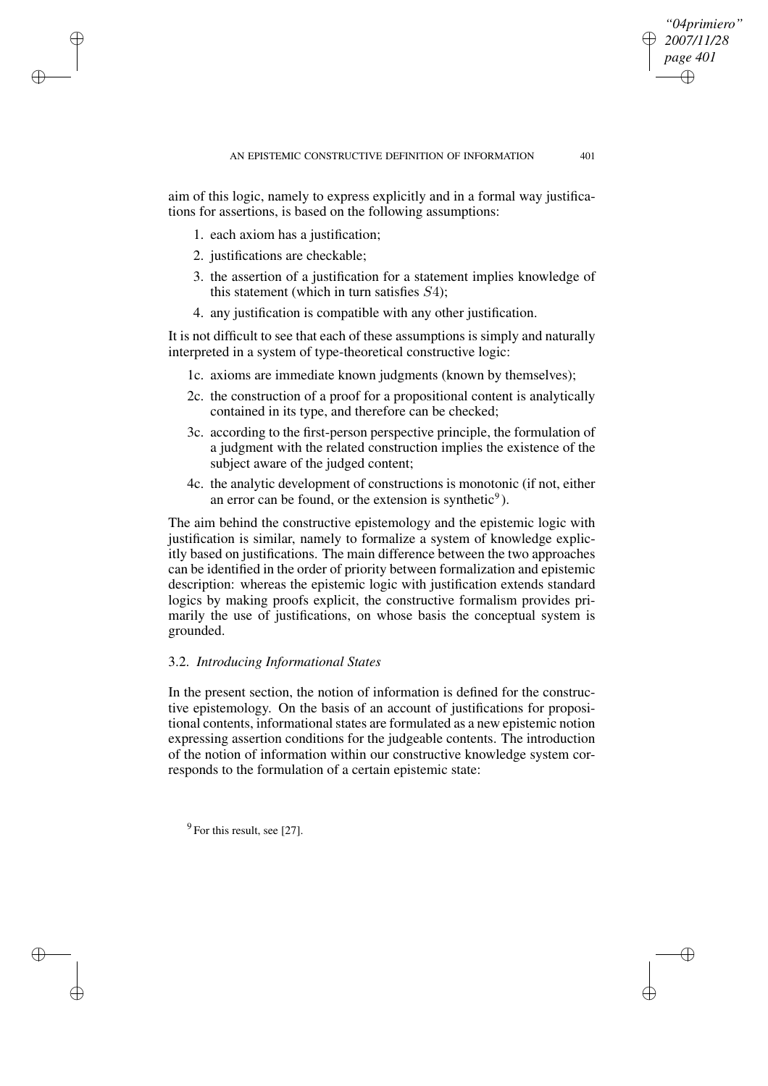aim of this logic, namely to express explicitly and in a formal way justifications for assertions, is based on the following assumptions:

- 1. each axiom has a justification;
- 2. justifications are checkable;

✐

✐

✐

✐

- 3. the assertion of a justification for a statement implies knowledge of this statement (which in turn satisfies  $S4$ );
- 4. any justification is compatible with any other justification.

It is not difficult to see that each of these assumptions is simply and naturally interpreted in a system of type-theoretical constructive logic:

- 1c. axioms are immediate known judgments (known by themselves);
- 2c. the construction of a proof for a propositional content is analytically contained in its type, and therefore can be checked;
- 3c. according to the first-person perspective principle, the formulation of a judgment with the related construction implies the existence of the subject aware of the judged content;
- 4c. the analytic development of constructions is monotonic (if not, either an error can be found, or the extension is synthetic<sup>9</sup>).

The aim behind the constructive epistemology and the epistemic logic with justification is similar, namely to formalize a system of knowledge explicitly based on justifications. The main difference between the two approaches can be identified in the order of priority between formalization and epistemic description: whereas the epistemic logic with justification extends standard logics by making proofs explicit, the constructive formalism provides primarily the use of justifications, on whose basis the conceptual system is grounded.

## 3.2. *Introducing Informational States*

In the present section, the notion of information is defined for the constructive epistemology. On the basis of an account of justifications for propositional contents, informational states are formulated as a new epistemic notion expressing assertion conditions for the judgeable contents. The introduction of the notion of information within our constructive knowledge system corresponds to the formulation of a certain epistemic state:

 $<sup>9</sup>$  For this result, see [27].</sup>

*"04primiero" 2007/11/28 page 401*

✐

✐

✐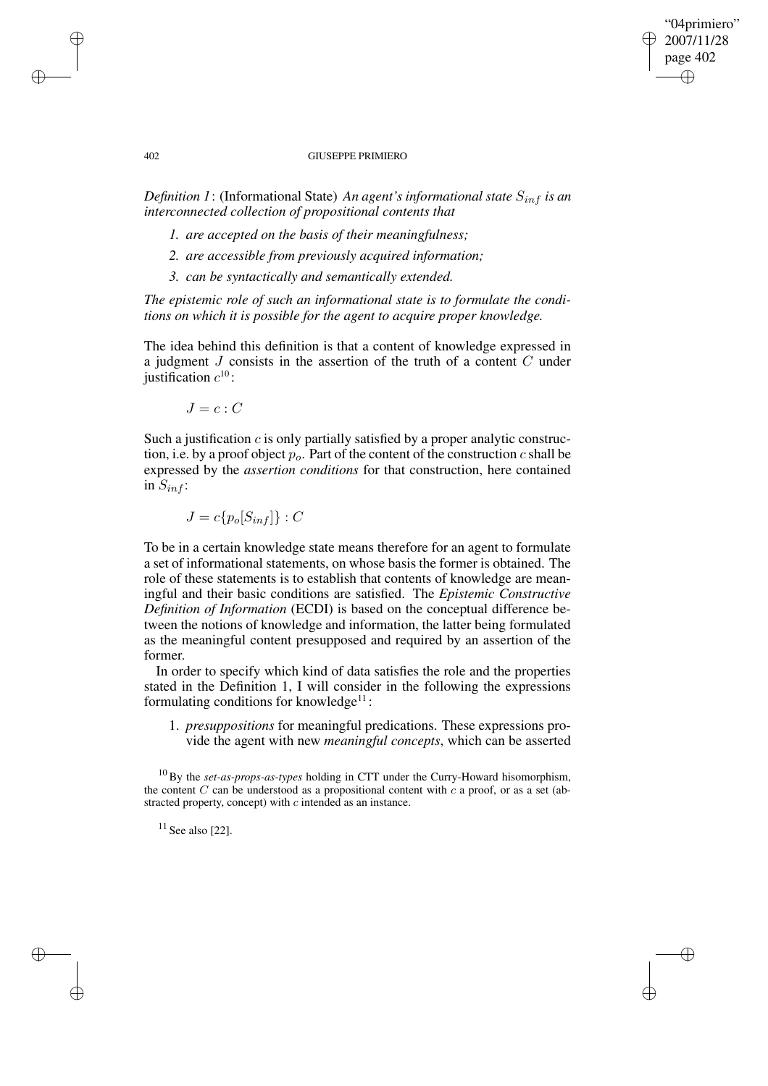## "04primiero" 2007/11/28 page 402 ✐ ✐

✐

✐

#### 402 GIUSEPPE PRIMIERO

*Definition* 1: (Informational State) *An agent's informational state*  $S_{inf}$  *is an interconnected collection of propositional contents that*

- *1. are accepted on the basis of their meaningfulness;*
- *2. are accessible from previously acquired information;*
- *3. can be syntactically and semantically extended.*

*The epistemic role of such an informational state is to formulate the conditions on which it is possible for the agent to acquire proper knowledge.*

The idea behind this definition is that a content of knowledge expressed in a judgment J consists in the assertion of the truth of a content C under justification  $c^{10}$ :

 $J = c : C$ 

Such a justification  $c$  is only partially satisfied by a proper analytic construction, i.e. by a proof object  $p<sub>o</sub>$ . Part of the content of the construction c shall be expressed by the *assertion conditions* for that construction, here contained in  $S_{inf}$ :

 $J = c\{p_o[S_{in} f] \} : C$ 

To be in a certain knowledge state means therefore for an agent to formulate a set of informational statements, on whose basis the former is obtained. The role of these statements is to establish that contents of knowledge are meaningful and their basic conditions are satisfied. The *Epistemic Constructive Definition of Information* (ECDI) is based on the conceptual difference between the notions of knowledge and information, the latter being formulated as the meaningful content presupposed and required by an assertion of the former.

In order to specify which kind of data satisfies the role and the properties stated in the Definition 1, I will consider in the following the expressions formulating conditions for knowledge<sup>11</sup>:

1. *presuppositions* for meaningful predications. These expressions provide the agent with new *meaningful concepts*, which can be asserted

<sup>10</sup> By the *set-as-props-as-types* holding in CTT under the Curry-Howard hisomorphism, the content  $C$  can be understood as a propositional content with  $c$  a proof, or as a set (abstracted property, concept) with c intended as an instance.

 $11$  See also [22].

✐

✐

✐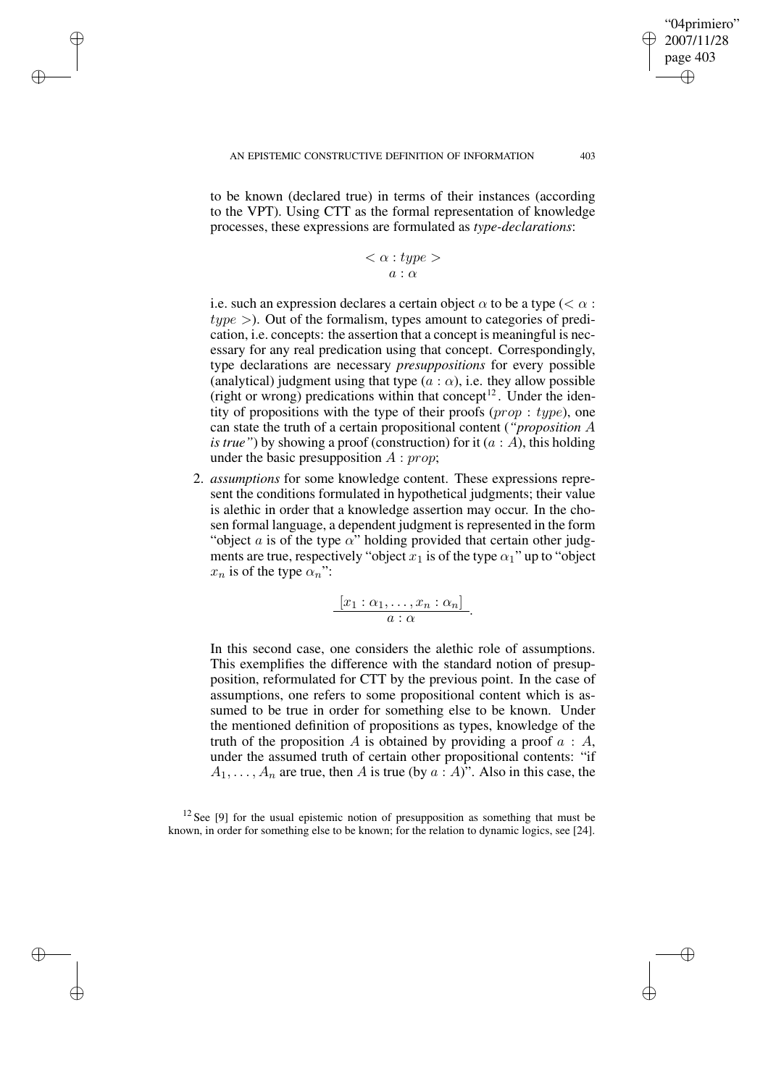✐

✐

✐

✐

to be known (declared true) in terms of their instances (according to the VPT). Using CTT as the formal representation of knowledge processes, these expressions are formulated as *type-declarations*:

> $\langle \alpha : type \rangle$  $a : \alpha$

i.e. such an expression declares a certain object  $\alpha$  to be a type ( $\lt \alpha$ ):  $type$  >). Out of the formalism, types amount to categories of predication, i.e. concepts: the assertion that a concept is meaningful is necessary for any real predication using that concept. Correspondingly, type declarations are necessary *presuppositions* for every possible (analytical) judgment using that type  $(a : \alpha)$ , i.e. they allow possible (right or wrong) predications within that concept<sup>12</sup>. Under the identity of propositions with the type of their proofs  $(prop: type)$ , one can state the truth of a certain propositional content (*"proposition* A *is true*") by showing a proof (construction) for it  $(a : A)$ , this holding under the basic presupposition  $A : prop$ ;

2. *assumptions* for some knowledge content. These expressions represent the conditions formulated in hypothetical judgments; their value is alethic in order that a knowledge assertion may occur. In the chosen formal language, a dependent judgment is represented in the form "object  $a$  is of the type  $\alpha$ " holding provided that certain other judgments are true, respectively "object  $x_1$  is of the type  $\alpha_1$ " up to "object"  $x_n$  is of the type  $\alpha_n$ ":

$$
\frac{[x_1:\alpha_1,\ldots,x_n:\alpha_n]}{a:\alpha}
$$

.

In this second case, one considers the alethic role of assumptions. This exemplifies the difference with the standard notion of presupposition, reformulated for CTT by the previous point. In the case of assumptions, one refers to some propositional content which is assumed to be true in order for something else to be known. Under the mentioned definition of propositions as types, knowledge of the truth of the proposition A is obtained by providing a proof  $a : A$ , under the assumed truth of certain other propositional contents: "if  $A_1, \ldots, A_n$  are true, then A is true (by  $a \cdot A$ )". Also in this case, the

<sup>12</sup> See [9] for the usual epistemic notion of presupposition as something that must be known, in order for something else to be known; for the relation to dynamic logics, see [24].

"04primiero" 2007/11/28 page 403

✐

✐

✐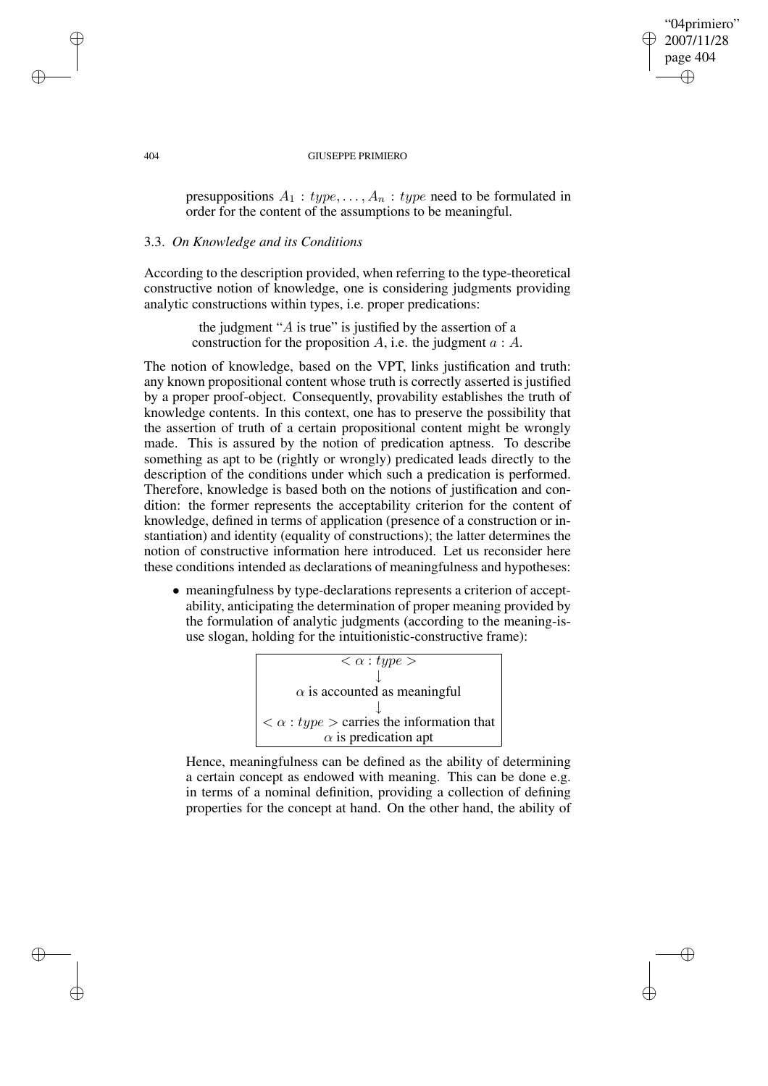## "04primiero" 2007/11/28 page 404 ✐ ✐

✐

✐

### 404 GIUSEPPE PRIMIERO

presuppositions  $A_1 : type, \ldots, A_n : type$  need to be formulated in order for the content of the assumptions to be meaningful.

# 3.3. *On Knowledge and its Conditions*

According to the description provided, when referring to the type-theoretical constructive notion of knowledge, one is considering judgments providing analytic constructions within types, i.e. proper predications:

> the judgment " $\ddot{A}$  is true" is justified by the assertion of a construction for the proposition A, i.e. the judgment  $a : A$ .

The notion of knowledge, based on the VPT, links justification and truth: any known propositional content whose truth is correctly asserted is justified by a proper proof-object. Consequently, provability establishes the truth of knowledge contents. In this context, one has to preserve the possibility that the assertion of truth of a certain propositional content might be wrongly made. This is assured by the notion of predication aptness. To describe something as apt to be (rightly or wrongly) predicated leads directly to the description of the conditions under which such a predication is performed. Therefore, knowledge is based both on the notions of justification and condition: the former represents the acceptability criterion for the content of knowledge, defined in terms of application (presence of a construction or instantiation) and identity (equality of constructions); the latter determines the notion of constructive information here introduced. Let us reconsider here these conditions intended as declarations of meaningfulness and hypotheses:

• meaningfulness by type-declarations represents a criterion of acceptability, anticipating the determination of proper meaning provided by the formulation of analytic judgments (according to the meaning-isuse slogan, holding for the intuitionistic-constructive frame):



Hence, meaningfulness can be defined as the ability of determining a certain concept as endowed with meaning. This can be done e.g. in terms of a nominal definition, providing a collection of defining properties for the concept at hand. On the other hand, the ability of

✐

✐

✐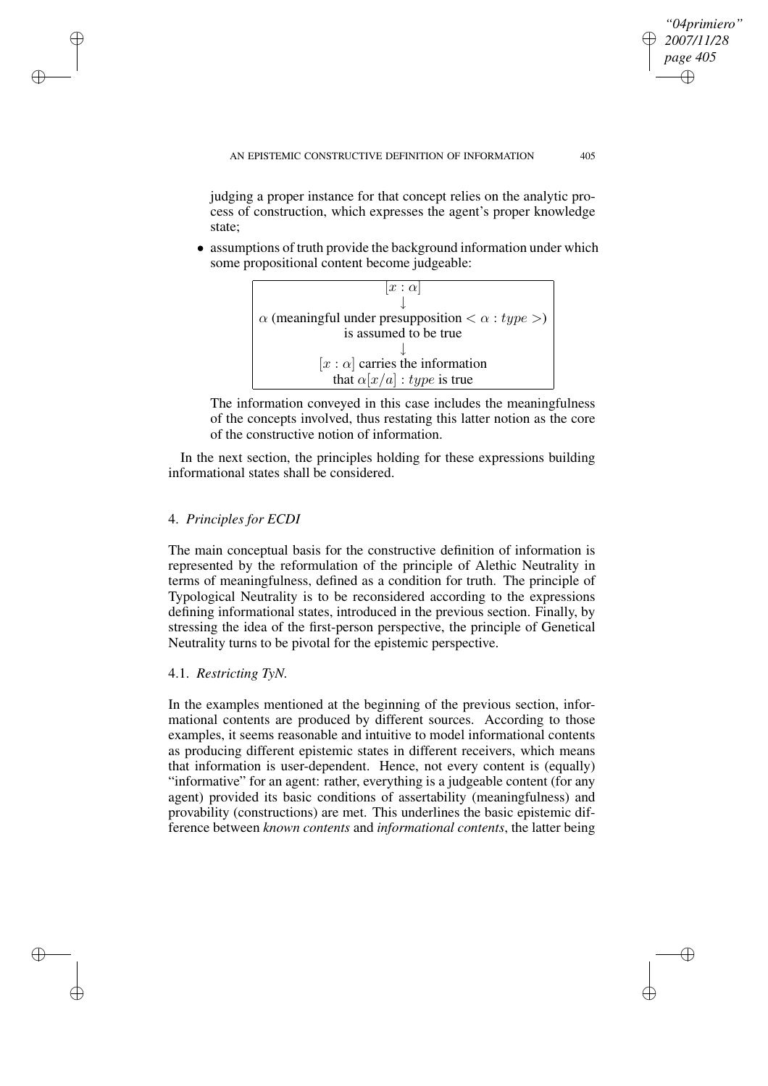judging a proper instance for that concept relies on the analytic process of construction, which expresses the agent's proper knowledge state;

• assumptions of truth provide the background information under which some propositional content become judgeable:



The information conveyed in this case includes the meaningfulness of the concepts involved, thus restating this latter notion as the core of the constructive notion of information.

In the next section, the principles holding for these expressions building informational states shall be considered.

# 4. *Principles for ECDI*

✐

✐

✐

✐

The main conceptual basis for the constructive definition of information is represented by the reformulation of the principle of Alethic Neutrality in terms of meaningfulness, defined as a condition for truth. The principle of Typological Neutrality is to be reconsidered according to the expressions defining informational states, introduced in the previous section. Finally, by stressing the idea of the first-person perspective, the principle of Genetical Neutrality turns to be pivotal for the epistemic perspective.

# 4.1. *Restricting TyN.*

In the examples mentioned at the beginning of the previous section, informational contents are produced by different sources. According to those examples, it seems reasonable and intuitive to model informational contents as producing different epistemic states in different receivers, which means that information is user-dependent. Hence, not every content is (equally) "informative" for an agent: rather, everything is a judgeable content (for any agent) provided its basic conditions of assertability (meaningfulness) and provability (constructions) are met. This underlines the basic epistemic difference between *known contents* and *informational contents*, the latter being

*"04primiero" 2007/11/28 page 405*

✐

✐

✐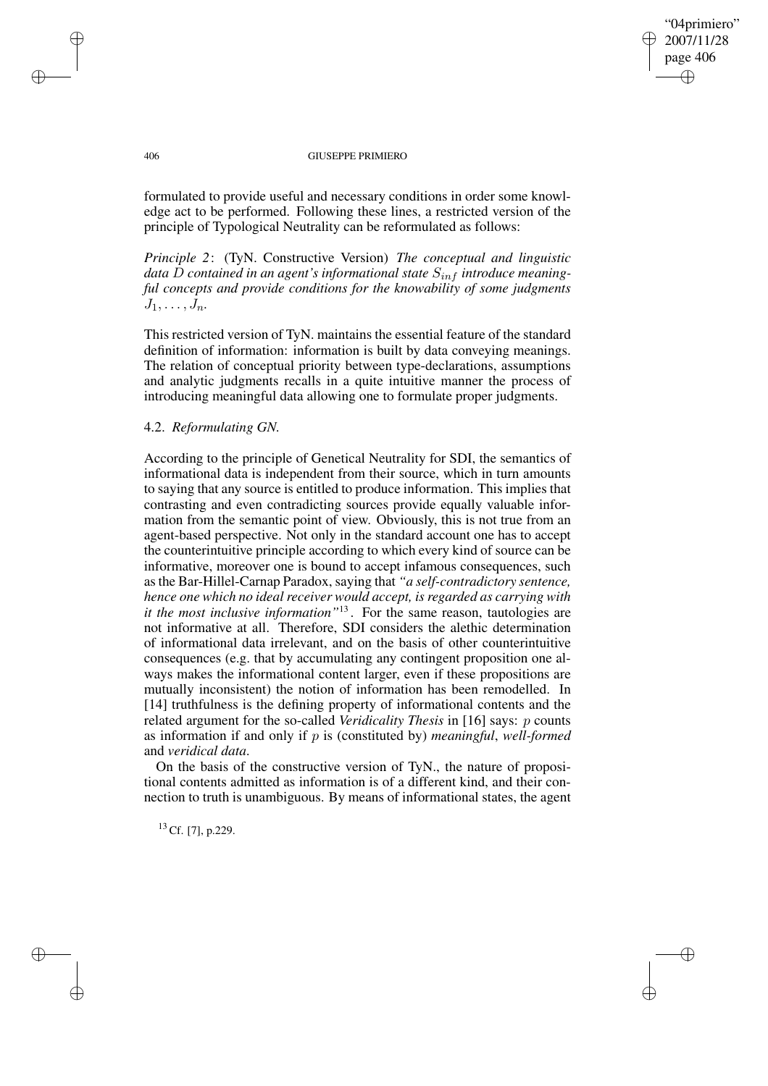## "04primiero" 2007/11/28 page 406 ✐ ✐

✐

✐

### 406 GIUSEPPE PRIMIERO

formulated to provide useful and necessary conditions in order some knowledge act to be performed. Following these lines, a restricted version of the principle of Typological Neutrality can be reformulated as follows:

*Principle 2*: (TyN. Constructive Version) *The conceptual and linguistic data* D *contained in an agent's informational state*  $S_{inf}$  *introduce meaningful concepts and provide conditions for the knowability of some judgments*  $J_1, \ldots, J_n$ .

This restricted version of TyN. maintains the essential feature of the standard definition of information: information is built by data conveying meanings. The relation of conceptual priority between type-declarations, assumptions and analytic judgments recalls in a quite intuitive manner the process of introducing meaningful data allowing one to formulate proper judgments.

## 4.2. *Reformulating GN.*

According to the principle of Genetical Neutrality for SDI, the semantics of informational data is independent from their source, which in turn amounts to saying that any source is entitled to produce information. This implies that contrasting and even contradicting sources provide equally valuable information from the semantic point of view. Obviously, this is not true from an agent-based perspective. Not only in the standard account one has to accept the counterintuitive principle according to which every kind of source can be informative, moreover one is bound to accept infamous consequences, such asthe Bar-Hillel-Carnap Paradox, saying that *"a self-contradictory sentence, hence one which no ideal receiver would accept, is regarded as carrying with it the most inclusive information"*<sup>13</sup> . For the same reason, tautologies are not informative at all. Therefore, SDI considers the alethic determination of informational data irrelevant, and on the basis of other counterintuitive consequences (e.g. that by accumulating any contingent proposition one always makes the informational content larger, even if these propositions are mutually inconsistent) the notion of information has been remodelled. In [14] truthfulness is the defining property of informational contents and the related argument for the so-called *Veridicality Thesis* in [16] says: p counts as information if and only if p is (constituted by) *meaningful*, *well-formed* and *veridical data*.

On the basis of the constructive version of TyN., the nature of propositional contents admitted as information is of a different kind, and their connection to truth is unambiguous. By means of informational states, the agent

 $13$  Cf. [7], p.229.

✐

✐

✐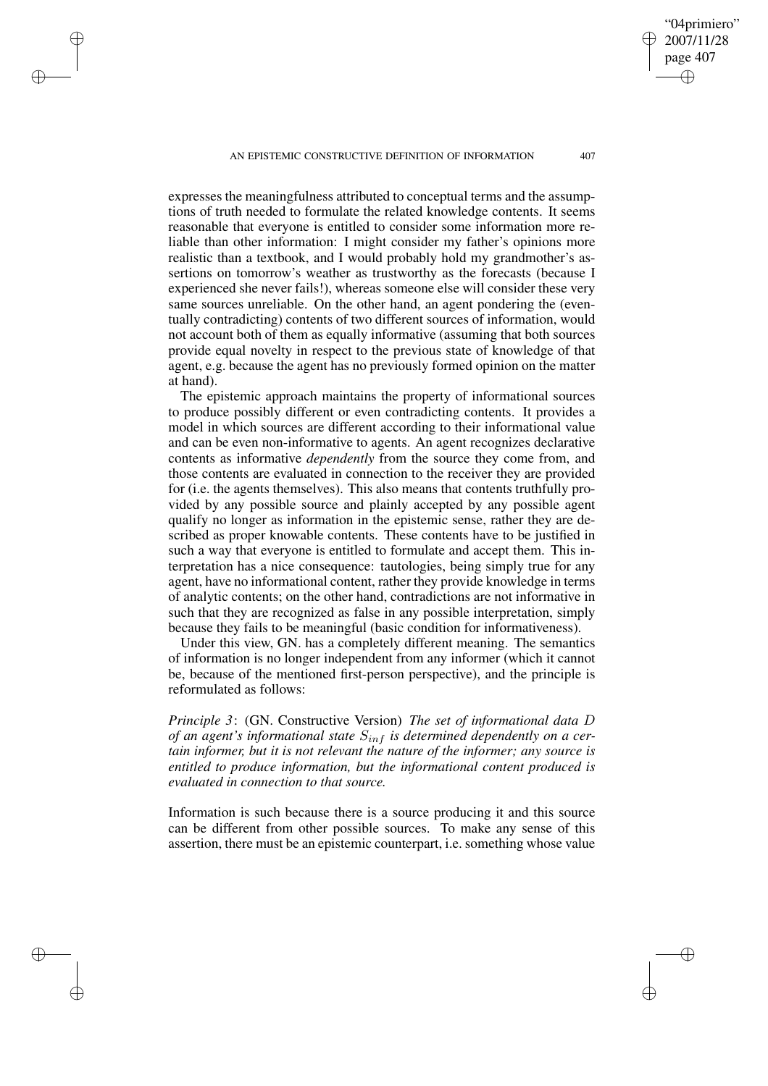AN EPISTEMIC CONSTRUCTIVE DEFINITION OF INFORMATION 407

✐

✐

✐

✐

expresses the meaningfulness attributed to conceptual terms and the assumptions of truth needed to formulate the related knowledge contents. It seems reasonable that everyone is entitled to consider some information more reliable than other information: I might consider my father's opinions more realistic than a textbook, and I would probably hold my grandmother's assertions on tomorrow's weather as trustworthy as the forecasts (because I experienced she never fails!), whereas someone else will consider these very same sources unreliable. On the other hand, an agent pondering the (eventually contradicting) contents of two different sources of information, would not account both of them as equally informative (assuming that both sources provide equal novelty in respect to the previous state of knowledge of that agent, e.g. because the agent has no previously formed opinion on the matter at hand).

The epistemic approach maintains the property of informational sources to produce possibly different or even contradicting contents. It provides a model in which sources are different according to their informational value and can be even non-informative to agents. An agent recognizes declarative contents as informative *dependently* from the source they come from, and those contents are evaluated in connection to the receiver they are provided for (i.e. the agents themselves). This also means that contents truthfully provided by any possible source and plainly accepted by any possible agent qualify no longer as information in the epistemic sense, rather they are described as proper knowable contents. These contents have to be justified in such a way that everyone is entitled to formulate and accept them. This interpretation has a nice consequence: tautologies, being simply true for any agent, have no informational content, rather they provide knowledge in terms of analytic contents; on the other hand, contradictions are not informative in such that they are recognized as false in any possible interpretation, simply because they fails to be meaningful (basic condition for informativeness).

Under this view, GN. has a completely different meaning. The semantics of information is no longer independent from any informer (which it cannot be, because of the mentioned first-person perspective), and the principle is reformulated as follows:

*Principle 3*: (GN. Constructive Version) *The set of informational data* D *of* an agent's informational state  $S_{inf}$  is determined dependently on a cer*tain informer, but it is not relevant the nature of the informer; any source is entitled to produce information, but the informational content produced is evaluated in connection to that source.*

Information is such because there is a source producing it and this source can be different from other possible sources. To make any sense of this assertion, there must be an epistemic counterpart, i.e. something whose value

"04primiero" 2007/11/28 page 407

✐

✐

✐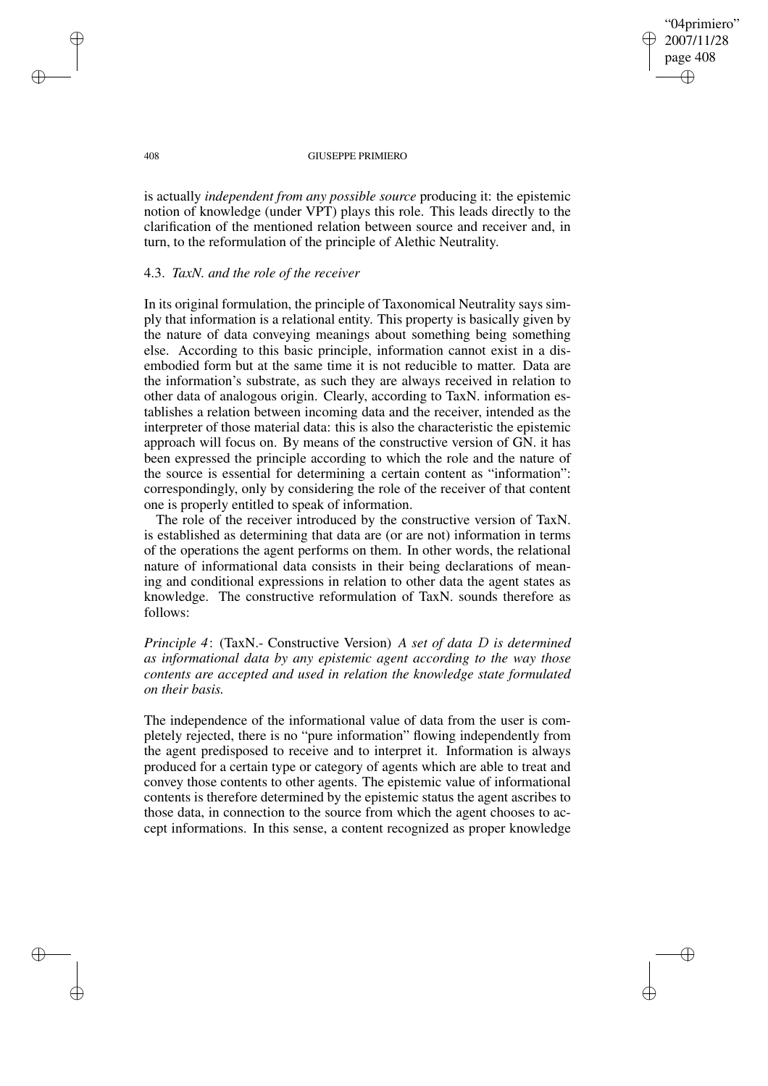"04primiero" 2007/11/28 page 408 ✐ ✐

✐

✐

### 408 GIUSEPPE PRIMIERO

is actually *independent from any possible source* producing it: the epistemic notion of knowledge (under VPT) plays this role. This leads directly to the clarification of the mentioned relation between source and receiver and, in turn, to the reformulation of the principle of Alethic Neutrality.

## 4.3. *TaxN. and the role of the receiver*

In its original formulation, the principle of Taxonomical Neutrality says simply that information is a relational entity. This property is basically given by the nature of data conveying meanings about something being something else. According to this basic principle, information cannot exist in a disembodied form but at the same time it is not reducible to matter. Data are the information's substrate, as such they are always received in relation to other data of analogous origin. Clearly, according to TaxN. information establishes a relation between incoming data and the receiver, intended as the interpreter of those material data: this is also the characteristic the epistemic approach will focus on. By means of the constructive version of GN. it has been expressed the principle according to which the role and the nature of the source is essential for determining a certain content as "information": correspondingly, only by considering the role of the receiver of that content one is properly entitled to speak of information.

The role of the receiver introduced by the constructive version of TaxN. is established as determining that data are (or are not) information in terms of the operations the agent performs on them. In other words, the relational nature of informational data consists in their being declarations of meaning and conditional expressions in relation to other data the agent states as knowledge. The constructive reformulation of TaxN. sounds therefore as follows:

# *Principle 4*: (TaxN.- Constructive Version) *A set of data* D *is determined as informational data by any epistemic agent according to the way those contents are accepted and used in relation the knowledge state formulated on their basis.*

The independence of the informational value of data from the user is completely rejected, there is no "pure information" flowing independently from the agent predisposed to receive and to interpret it. Information is always produced for a certain type or category of agents which are able to treat and convey those contents to other agents. The epistemic value of informational contents is therefore determined by the epistemic status the agent ascribes to those data, in connection to the source from which the agent chooses to accept informations. In this sense, a content recognized as proper knowledge

✐

✐

✐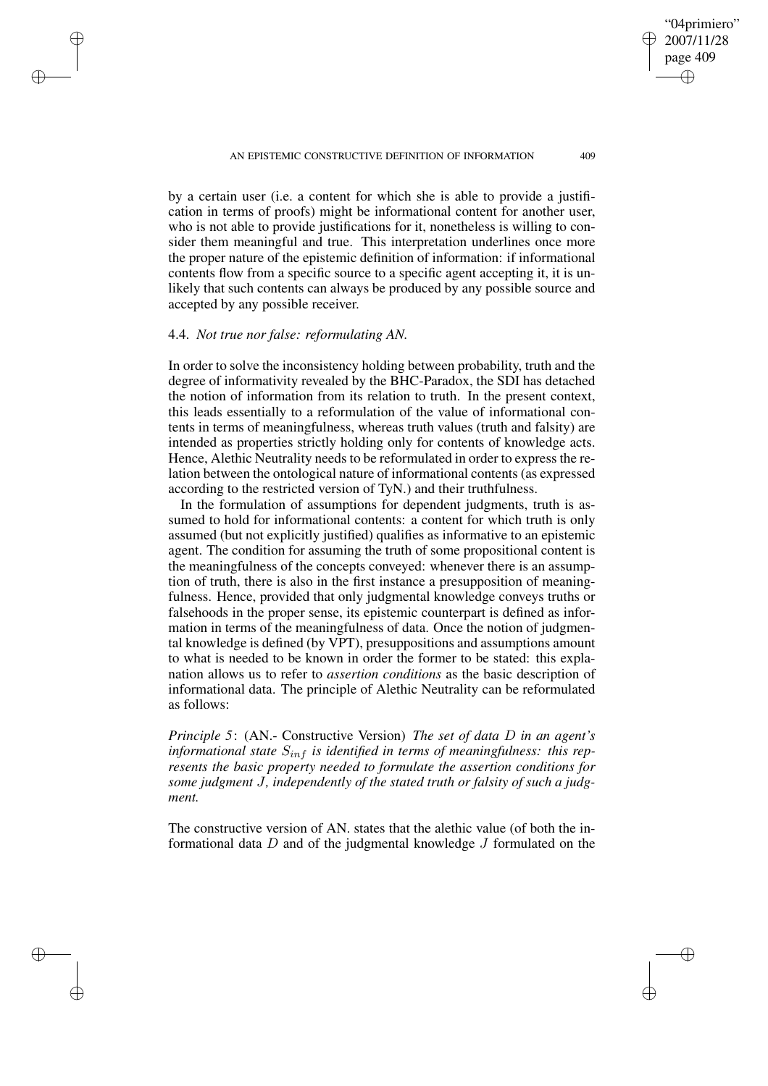AN EPISTEMIC CONSTRUCTIVE DEFINITION OF INFORMATION 409

by a certain user (i.e. a content for which she is able to provide a justification in terms of proofs) might be informational content for another user, who is not able to provide justifications for it, nonetheless is willing to consider them meaningful and true. This interpretation underlines once more the proper nature of the epistemic definition of information: if informational contents flow from a specific source to a specific agent accepting it, it is unlikely that such contents can always be produced by any possible source and accepted by any possible receiver.

### 4.4. *Not true nor false: reformulating AN.*

✐

✐

✐

✐

In order to solve the inconsistency holding between probability, truth and the degree of informativity revealed by the BHC-Paradox, the SDI has detached the notion of information from its relation to truth. In the present context, this leads essentially to a reformulation of the value of informational contents in terms of meaningfulness, whereas truth values (truth and falsity) are intended as properties strictly holding only for contents of knowledge acts. Hence, Alethic Neutrality needs to be reformulated in order to express the relation between the ontological nature of informational contents (as expressed according to the restricted version of TyN.) and their truthfulness.

In the formulation of assumptions for dependent judgments, truth is assumed to hold for informational contents: a content for which truth is only assumed (but not explicitly justified) qualifies as informative to an epistemic agent. The condition for assuming the truth of some propositional content is the meaningfulness of the concepts conveyed: whenever there is an assumption of truth, there is also in the first instance a presupposition of meaningfulness. Hence, provided that only judgmental knowledge conveys truths or falsehoods in the proper sense, its epistemic counterpart is defined as information in terms of the meaningfulness of data. Once the notion of judgmental knowledge is defined (by VPT), presuppositions and assumptions amount to what is needed to be known in order the former to be stated: this explanation allows us to refer to *assertion conditions* as the basic description of informational data. The principle of Alethic Neutrality can be reformulated as follows:

*Principle 5*: (AN.- Constructive Version) *The set of data* D *in an agent's informational state*  $S_{inf}$  *is identified in terms of meaningfulness: this represents the basic property needed to formulate the assertion conditions for some judgment* J*, independently of the stated truth or falsity of such a judgment.*

The constructive version of AN. states that the alethic value (of both the informational data D and of the judgmental knowledge J formulated on the

"04primiero" 2007/11/28 page 409

✐

✐

✐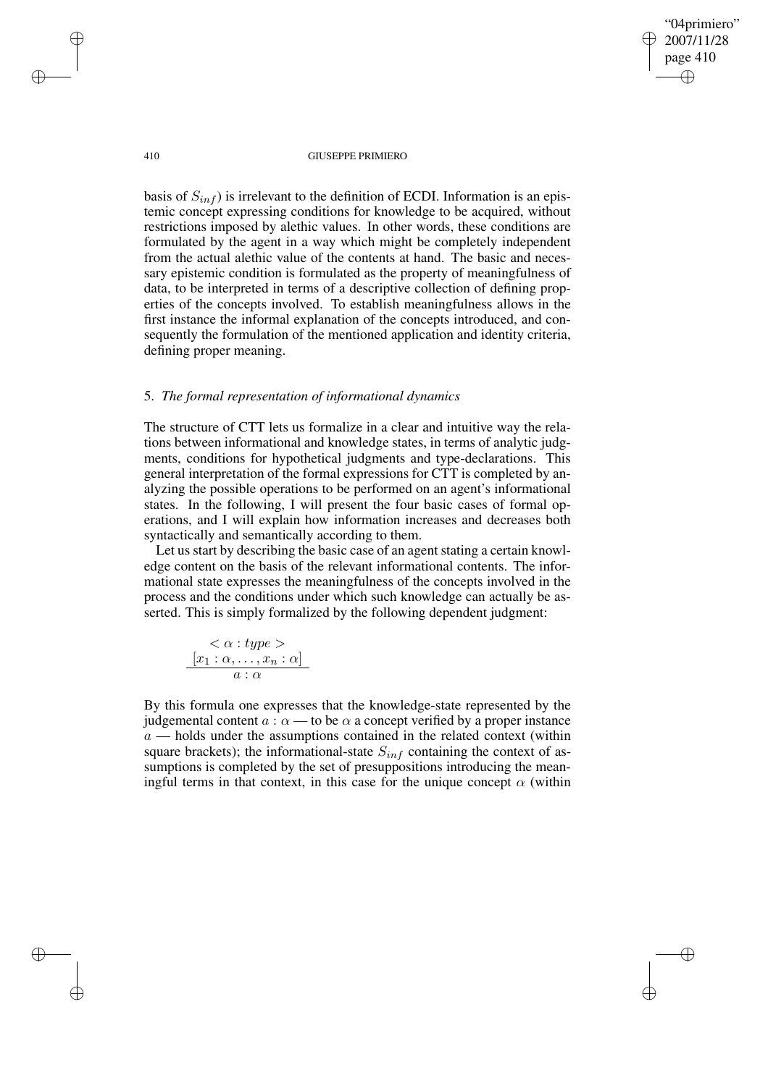410 GIUSEPPE PRIMIERO

"04primiero" 2007/11/28 page 410

✐

✐

✐

✐

basis of  $S_{inf}$ ) is irrelevant to the definition of ECDI. Information is an epistemic concept expressing conditions for knowledge to be acquired, without restrictions imposed by alethic values. In other words, these conditions are formulated by the agent in a way which might be completely independent from the actual alethic value of the contents at hand. The basic and necessary epistemic condition is formulated as the property of meaningfulness of data, to be interpreted in terms of a descriptive collection of defining properties of the concepts involved. To establish meaningfulness allows in the first instance the informal explanation of the concepts introduced, and consequently the formulation of the mentioned application and identity criteria, defining proper meaning.

### 5. *The formal representation of informational dynamics*

The structure of CTT lets us formalize in a clear and intuitive way the relations between informational and knowledge states, in terms of analytic judgments, conditions for hypothetical judgments and type-declarations. This general interpretation of the formal expressions for CTT is completed by analyzing the possible operations to be performed on an agent's informational states. In the following, I will present the four basic cases of formal operations, and I will explain how information increases and decreases both syntactically and semantically according to them.

Let us start by describing the basic case of an agent stating a certain knowledge content on the basis of the relevant informational contents. The informational state expresses the meaningfulness of the concepts involved in the process and the conditions under which such knowledge can actually be asserted. This is simply formalized by the following dependent judgment:

$$
\frac{<\alpha:type>}{[x_1:\alpha,\ldots,x_n:\alpha]}\\a:\alpha
$$

By this formula one expresses that the knowledge-state represented by the judgemental content  $a : \alpha$  — to be  $\alpha$  a concept verified by a proper instance  $a$  — holds under the assumptions contained in the related context (within square brackets); the informational-state  $S_{inf}$  containing the context of assumptions is completed by the set of presuppositions introducing the meaningful terms in that context, in this case for the unique concept  $\alpha$  (within

✐

✐

✐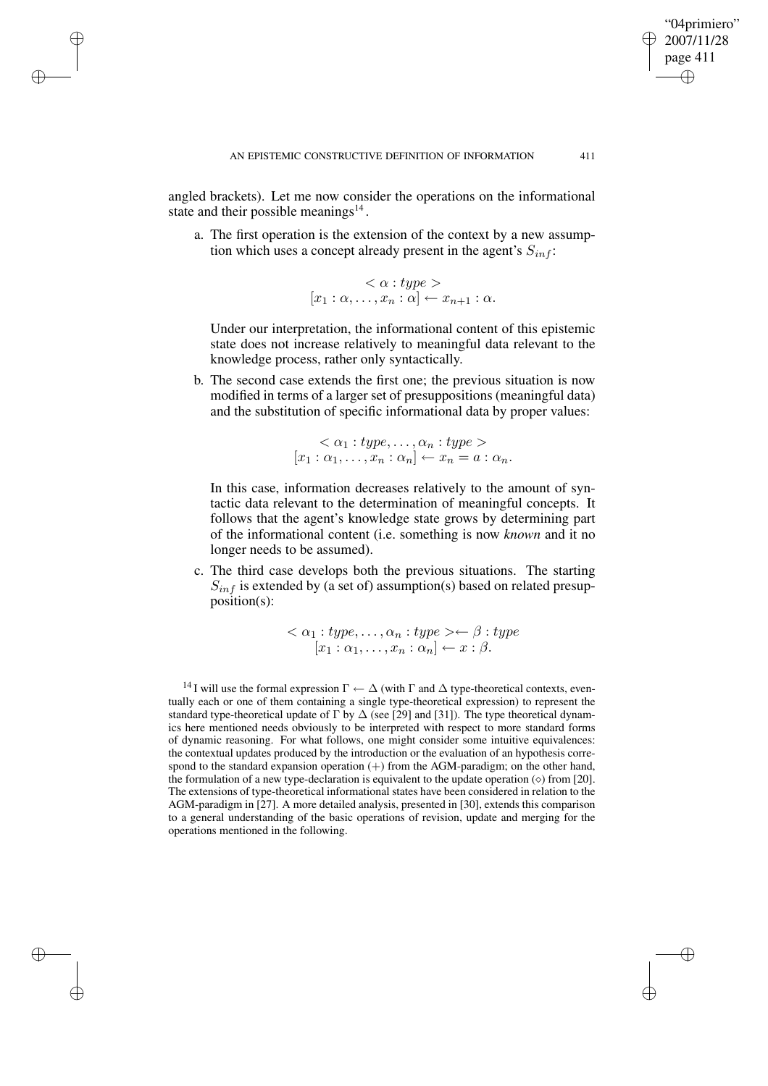angled brackets). Let me now consider the operations on the informational state and their possible meanings $^{14}$ .

✐

✐

✐

✐

a. The first operation is the extension of the context by a new assumption which uses a concept already present in the agent's  $S_{inf}$ :

> $\langle \alpha : type \rangle$  $[x_1:\alpha,\ldots,x_n:\alpha]\leftarrow x_{n+1}:\alpha.$

Under our interpretation, the informational content of this epistemic state does not increase relatively to meaningful data relevant to the knowledge process, rather only syntactically.

b. The second case extends the first one; the previous situation is now modified in terms of a larger set of presuppositions (meaningful data) and the substitution of specific informational data by proper values:

$$
\langle \alpha_1 : type, \dots, \alpha_n : type \rangle
$$
  
[ $x_1 : \alpha_1, \dots, x_n : \alpha_n$ ]  $\leftarrow x_n = a : \alpha_n$ .

In this case, information decreases relatively to the amount of syntactic data relevant to the determination of meaningful concepts. It follows that the agent's knowledge state grows by determining part of the informational content (i.e. something is now *known* and it no longer needs to be assumed).

c. The third case develops both the previous situations. The starting  $S_{inf}$  is extended by (a set of) assumption(s) based on related presupposition(s):

> $<\alpha_1: type, \ldots, \alpha_n: type > \leftarrow \beta: type$  $[x_1:\alpha_1,\ldots,x_n:\alpha_n] \leftarrow x:\beta.$

<sup>14</sup> I will use the formal expression  $\Gamma \leftarrow \Delta$  (with  $\Gamma$  and  $\Delta$  type-theoretical contexts, eventually each or one of them containing a single type-theoretical expression) to represent the standard type-theoretical update of  $\Gamma$  by  $\Delta$  (see [29] and [31]). The type theoretical dynamics here mentioned needs obviously to be interpreted with respect to more standard forms of dynamic reasoning. For what follows, one might consider some intuitive equivalences: the contextual updates produced by the introduction or the evaluation of an hypothesis correspond to the standard expansion operation  $(+)$  from the AGM-paradigm; on the other hand, the formulation of a new type-declaration is equivalent to the update operation  $(\circ)$  from [20]. The extensions of type-theoretical informational states have been considered in relation to the AGM-paradigm in [27]. A more detailed analysis, presented in [30], extends this comparison to a general understanding of the basic operations of revision, update and merging for the operations mentioned in the following.

"04primiero" 2007/11/28 page 411

✐

✐

✐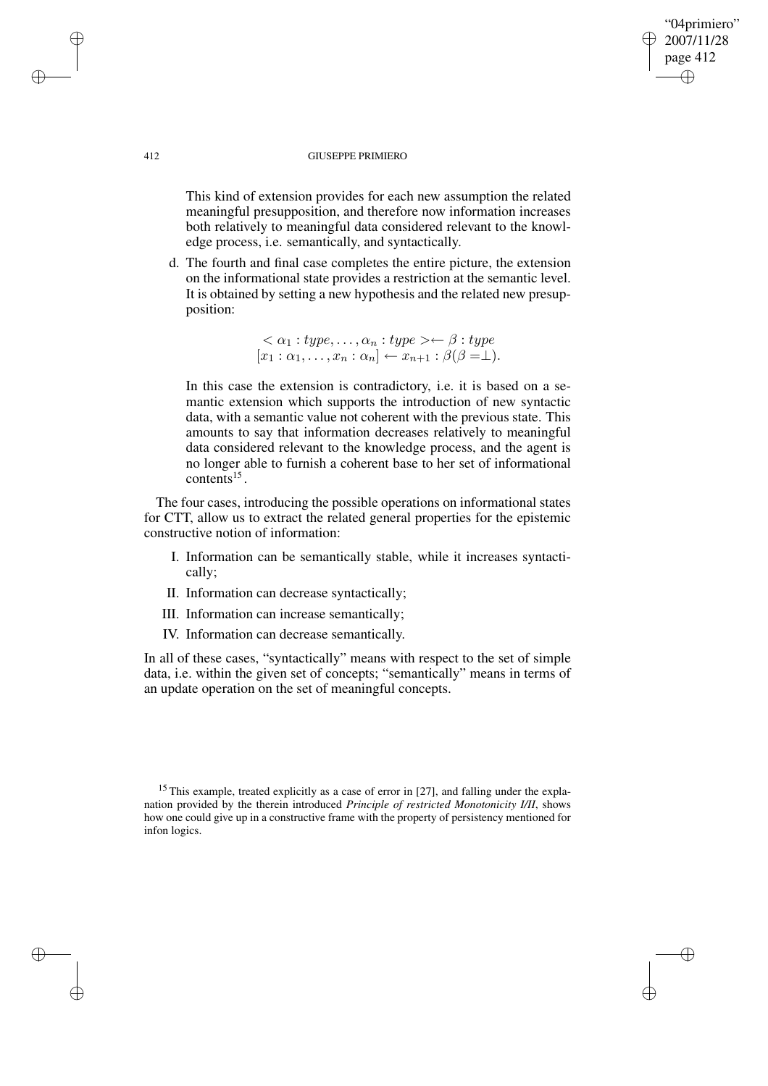## "04primiero" 2007/11/28 page 412 ✐ ✐

✐

✐

### 412 GIUSEPPE PRIMIERO

This kind of extension provides for each new assumption the related meaningful presupposition, and therefore now information increases both relatively to meaningful data considered relevant to the knowledge process, i.e. semantically, and syntactically.

d. The fourth and final case completes the entire picture, the extension on the informational state provides a restriction at the semantic level. It is obtained by setting a new hypothesis and the related new presupposition:

> $<\alpha_1: type, \ldots, \alpha_n: type > \leftarrow \beta: type$  $[x_1 : \alpha_1, \ldots, x_n : \alpha_n] \leftarrow x_{n+1} : \beta(\beta = \perp).$

In this case the extension is contradictory, i.e. it is based on a semantic extension which supports the introduction of new syntactic data, with a semantic value not coherent with the previous state. This amounts to say that information decreases relatively to meaningful data considered relevant to the knowledge process, and the agent is no longer able to furnish a coherent base to her set of informational  $contents^{15}$ .

The four cases, introducing the possible operations on informational states for CTT, allow us to extract the related general properties for the epistemic constructive notion of information:

- I. Information can be semantically stable, while it increases syntactically;
- II. Information can decrease syntactically;
- III. Information can increase semantically;
- IV. Information can decrease semantically.

In all of these cases, "syntactically" means with respect to the set of simple data, i.e. within the given set of concepts; "semantically" means in terms of an update operation on the set of meaningful concepts.

✐

✐

✐

<sup>&</sup>lt;sup>15</sup> This example, treated explicitly as a case of error in [27], and falling under the explanation provided by the therein introduced *Principle of restricted Monotonicity I/II*, shows how one could give up in a constructive frame with the property of persistency mentioned for infon logics.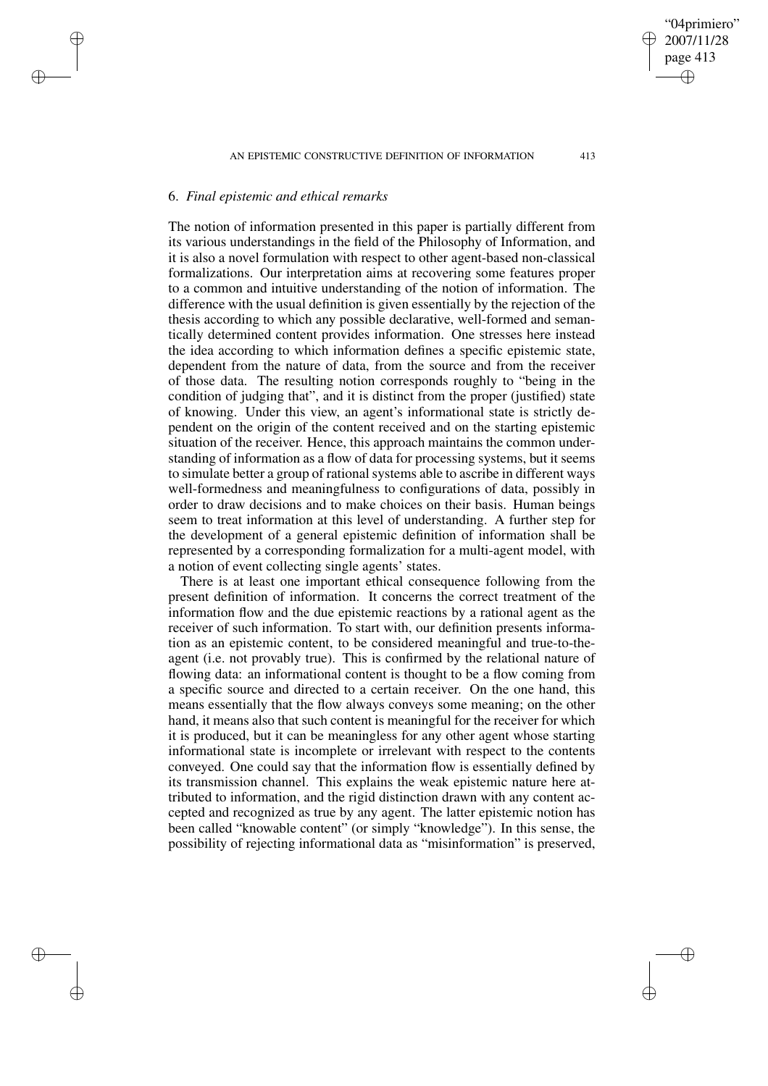"04primiero" 2007/11/28 page 413

✐

✐

✐

✐

# 6. *Final epistemic and ethical remarks*

✐

✐

✐

✐

The notion of information presented in this paper is partially different from its various understandings in the field of the Philosophy of Information, and it is also a novel formulation with respect to other agent-based non-classical formalizations. Our interpretation aims at recovering some features proper to a common and intuitive understanding of the notion of information. The difference with the usual definition is given essentially by the rejection of the thesis according to which any possible declarative, well-formed and semantically determined content provides information. One stresses here instead the idea according to which information defines a specific epistemic state, dependent from the nature of data, from the source and from the receiver of those data. The resulting notion corresponds roughly to "being in the condition of judging that", and it is distinct from the proper (justified) state of knowing. Under this view, an agent's informational state is strictly dependent on the origin of the content received and on the starting epistemic situation of the receiver. Hence, this approach maintains the common understanding of information as a flow of data for processing systems, but it seems to simulate better a group of rational systems able to ascribe in different ways well-formedness and meaningfulness to configurations of data, possibly in order to draw decisions and to make choices on their basis. Human beings seem to treat information at this level of understanding. A further step for the development of a general epistemic definition of information shall be represented by a corresponding formalization for a multi-agent model, with a notion of event collecting single agents' states.

There is at least one important ethical consequence following from the present definition of information. It concerns the correct treatment of the information flow and the due epistemic reactions by a rational agent as the receiver of such information. To start with, our definition presents information as an epistemic content, to be considered meaningful and true-to-theagent (i.e. not provably true). This is confirmed by the relational nature of flowing data: an informational content is thought to be a flow coming from a specific source and directed to a certain receiver. On the one hand, this means essentially that the flow always conveys some meaning; on the other hand, it means also that such content is meaningful for the receiver for which it is produced, but it can be meaningless for any other agent whose starting informational state is incomplete or irrelevant with respect to the contents conveyed. One could say that the information flow is essentially defined by its transmission channel. This explains the weak epistemic nature here attributed to information, and the rigid distinction drawn with any content accepted and recognized as true by any agent. The latter epistemic notion has been called "knowable content" (or simply "knowledge"). In this sense, the possibility of rejecting informational data as "misinformation" is preserved,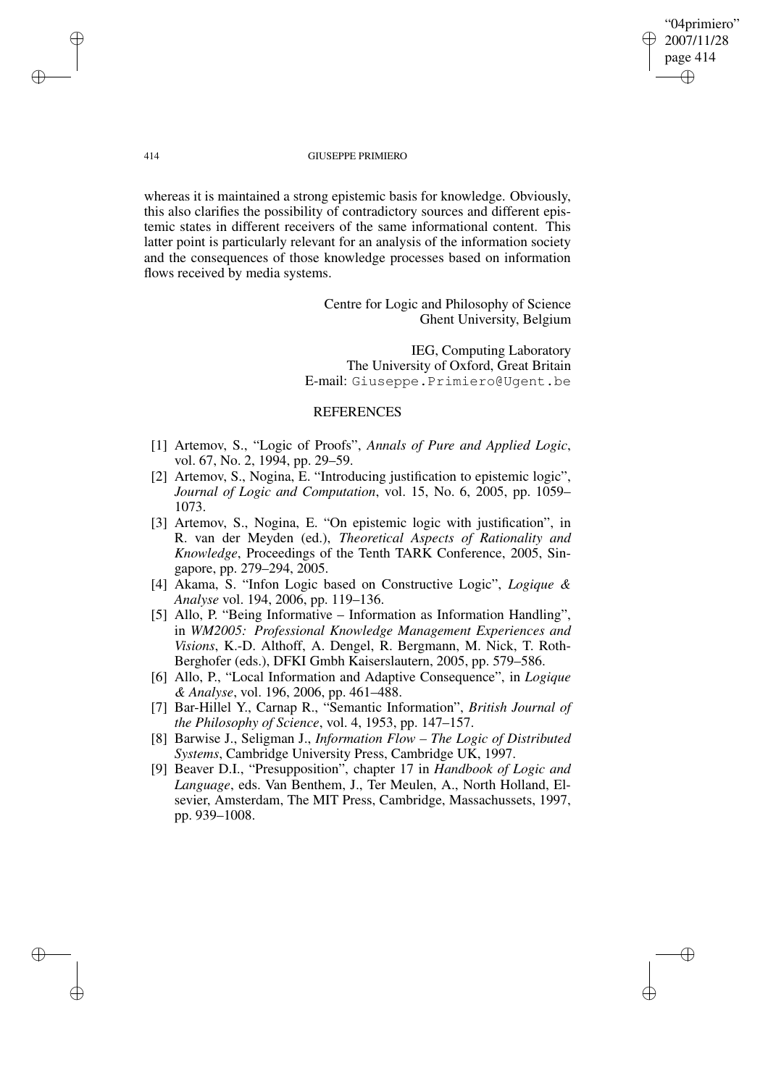"04primiero" 2007/11/28 page 414 ✐ ✐

✐

✐

### 414 GIUSEPPE PRIMIERO

whereas it is maintained a strong epistemic basis for knowledge. Obviously, this also clarifies the possibility of contradictory sources and different epistemic states in different receivers of the same informational content. This latter point is particularly relevant for an analysis of the information society and the consequences of those knowledge processes based on information flows received by media systems.

> Centre for Logic and Philosophy of Science Ghent University, Belgium

IEG, Computing Laboratory The University of Oxford, Great Britain E-mail: Giuseppe.Primiero@Ugent.be

## REFERENCES

- [1] Artemov, S., "Logic of Proofs", *Annals of Pure and Applied Logic*, vol. 67, No. 2, 1994, pp. 29–59.
- [2] Artemov, S., Nogina, E. "Introducing justification to epistemic logic", *Journal of Logic and Computation*, vol. 15, No. 6, 2005, pp. 1059– 1073.
- [3] Artemov, S., Nogina, E. "On epistemic logic with justification", in R. van der Meyden (ed.), *Theoretical Aspects of Rationality and Knowledge*, Proceedings of the Tenth TARK Conference, 2005, Singapore, pp. 279–294, 2005.
- [4] Akama, S. "Infon Logic based on Constructive Logic", *Logique & Analyse* vol. 194, 2006, pp. 119–136.
- [5] Allo, P. "Being Informative Information as Information Handling", in *WM2005: Professional Knowledge Management Experiences and Visions*, K.-D. Althoff, A. Dengel, R. Bergmann, M. Nick, T. Roth-Berghofer (eds.), DFKI Gmbh Kaiserslautern, 2005, pp. 579–586.
- [6] Allo, P., "Local Information and Adaptive Consequence", in *Logique & Analyse*, vol. 196, 2006, pp. 461–488.
- [7] Bar-Hillel Y., Carnap R., "Semantic Information", *British Journal of the Philosophy of Science*, vol. 4, 1953, pp. 147–157.
- [8] Barwise J., Seligman J., *Information Flow – The Logic of Distributed Systems*, Cambridge University Press, Cambridge UK, 1997.
- [9] Beaver D.I., "Presupposition", chapter 17 in *Handbook of Logic and Language*, eds. Van Benthem, J., Ter Meulen, A., North Holland, Elsevier, Amsterdam, The MIT Press, Cambridge, Massachussets, 1997, pp. 939–1008.

✐

✐

✐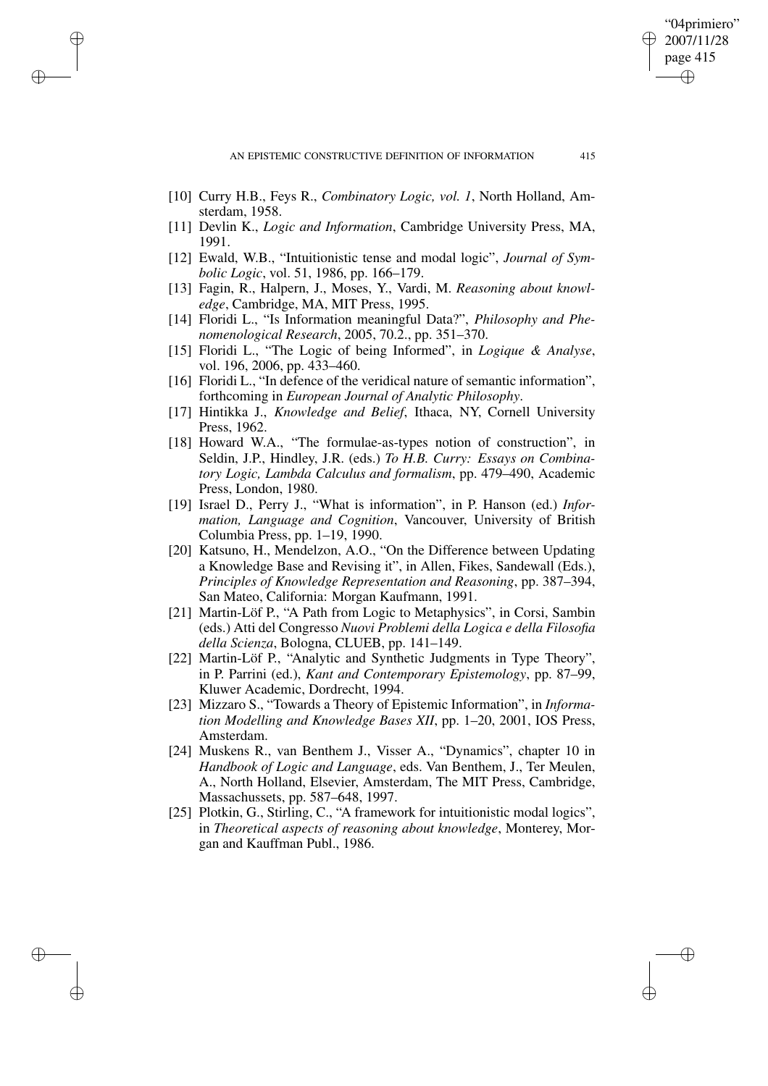AN EPISTEMIC CONSTRUCTIVE DEFINITION OF INFORMATION 415

[10] Curry H.B., Feys R., *Combinatory Logic, vol. 1*, North Holland, Amsterdam, 1958.

✐

✐

✐

✐

- [11] Devlin K., *Logic and Information*, Cambridge University Press, MA, 1991.
- [12] Ewald, W.B., "Intuitionistic tense and modal logic", *Journal of Symbolic Logic*, vol. 51, 1986, pp. 166–179.
- [13] Fagin, R., Halpern, J., Moses, Y., Vardi, M. *Reasoning about knowledge*, Cambridge, MA, MIT Press, 1995.
- [14] Floridi L., "Is Information meaningful Data?", *Philosophy and Phenomenological Research*, 2005, 70.2., pp. 351–370.
- [15] Floridi L., "The Logic of being Informed", in *Logique & Analyse*, vol. 196, 2006, pp. 433–460.
- [16] Floridi L., "In defence of the veridical nature of semantic information", forthcoming in *European Journal of Analytic Philosophy*.
- [17] Hintikka J., *Knowledge and Belief*, Ithaca, NY, Cornell University Press, 1962.
- [18] Howard W.A., "The formulae-as-types notion of construction", in Seldin, J.P., Hindley, J.R. (eds.) *To H.B. Curry: Essays on Combinatory Logic, Lambda Calculus and formalism*, pp. 479–490, Academic Press, London, 1980.
- [19] Israel D., Perry J., "What is information", in P. Hanson (ed.) *Information, Language and Cognition*, Vancouver, University of British Columbia Press, pp. 1–19, 1990.
- [20] Katsuno, H., Mendelzon, A.O., "On the Difference between Updating a Knowledge Base and Revising it", in Allen, Fikes, Sandewall (Eds.), *Principles of Knowledge Representation and Reasoning*, pp. 387–394, San Mateo, California: Morgan Kaufmann, 1991.
- [21] Martin-Löf P., "A Path from Logic to Metaphysics", in Corsi, Sambin (eds.) Atti del Congresso *Nuovi Problemi della Logica e della Filosofia della Scienza*, Bologna, CLUEB, pp. 141–149.
- [22] Martin-Löf P., "Analytic and Synthetic Judgments in Type Theory". in P. Parrini (ed.), *Kant and Contemporary Epistemology*, pp. 87–99, Kluwer Academic, Dordrecht, 1994.
- [23] Mizzaro S., "Towards a Theory of Epistemic Information", in *Information Modelling and Knowledge Bases XII*, pp. 1–20, 2001, IOS Press, Amsterdam.
- [24] Muskens R., van Benthem J., Visser A., "Dynamics", chapter 10 in *Handbook of Logic and Language*, eds. Van Benthem, J., Ter Meulen, A., North Holland, Elsevier, Amsterdam, The MIT Press, Cambridge, Massachussets, pp. 587–648, 1997.
- [25] Plotkin, G., Stirling, C., "A framework for intuitionistic modal logics", in *Theoretical aspects of reasoning about knowledge*, Monterey, Morgan and Kauffman Publ., 1986.

"04primiero" 2007/11/28 page 415

✐

✐

✐